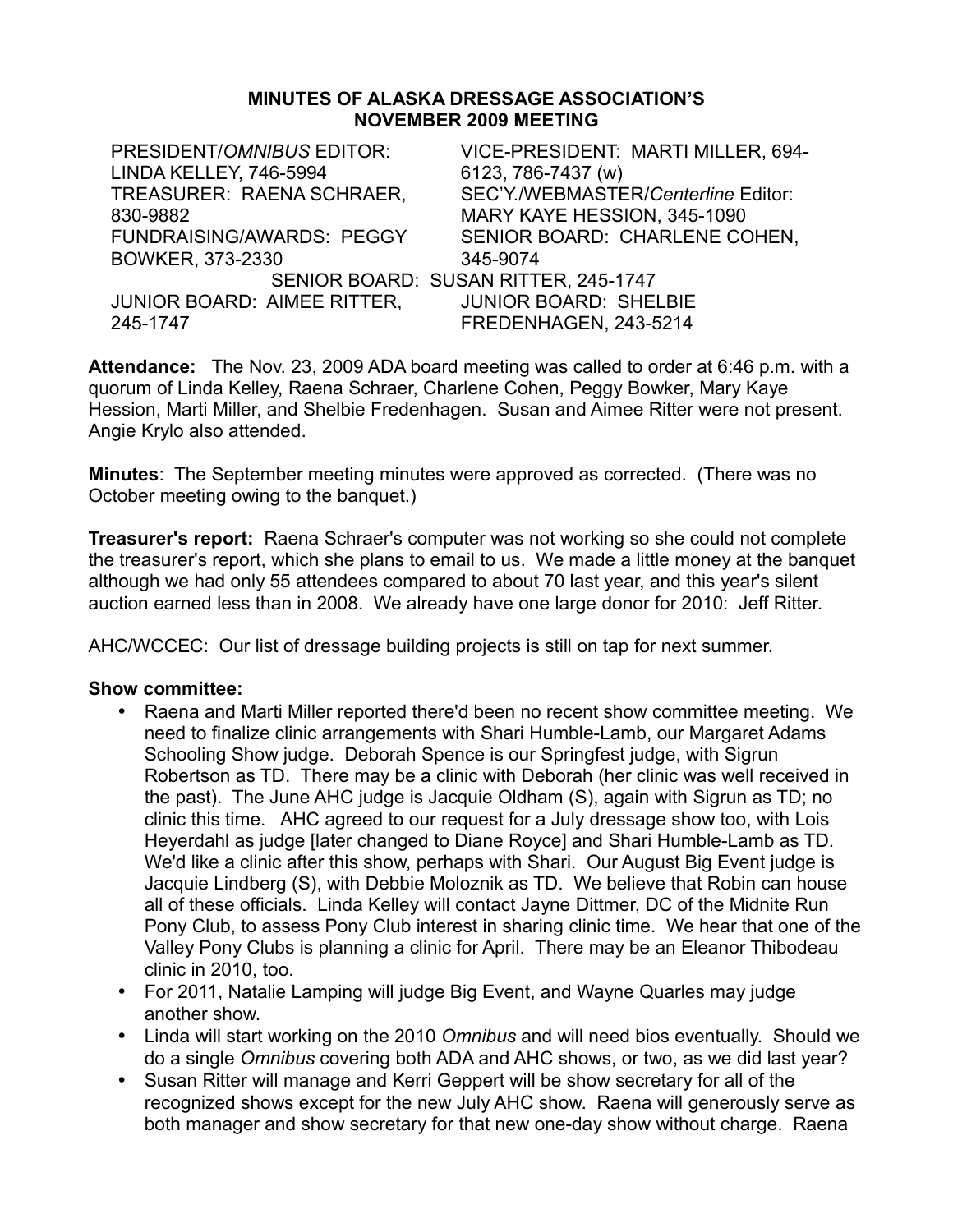#### **MINUTES OF ALASKA DRESSAGE ASSOCIATION'S NOVEMBER 2009 MEETING**

| PRESIDENT/OMNIBUS EDITOR:<br>LINDA KELLEY, 746-5994 | VICE-PRESIDENT: MARTI MILLER, 694-<br>6123, 786-7437 (w) |
|-----------------------------------------------------|----------------------------------------------------------|
|                                                     |                                                          |
| TREASURER: RAENA SCHRAER,                           | SEC'Y./WEBMASTER/Centerline Editor:                      |
| 830-9882                                            | MARY KAYE HESSION, 345-1090                              |
| <b>FUNDRAISING/AWARDS: PEGGY</b>                    | SENIOR BOARD: CHARLENE COHEN,                            |
| BOWKER, 373-2330                                    | 345-9074                                                 |
| SENIOR BOARD: SUSAN RITTER, 245-1747                |                                                          |
| JUNIOR BOARD: AIMEE RITTER,                         | <b>JUNIOR BOARD: SHELBIE</b>                             |
| 245-1747                                            | FREDENHAGEN, 243-5214                                    |

**Attendance:** The Nov. 23, 2009 ADA board meeting was called to order at 6:46 p.m. with a quorum of Linda Kelley, Raena Schraer, Charlene Cohen, Peggy Bowker, Mary Kaye Hession, Marti Miller, and Shelbie Fredenhagen. Susan and Aimee Ritter were not present. Angie Krylo also attended.

**Minutes**: The September meeting minutes were approved as corrected. (There was no October meeting owing to the banquet.)

**Treasurer's report:** Raena Schraer's computer was not working so she could not complete the treasurer's report, which she plans to email to us. We made a little money at the banquet although we had only 55 attendees compared to about 70 last year, and this year's silent auction earned less than in 2008. We already have one large donor for 2010: Jeff Ritter.

AHC/WCCEC: Our list of dressage building projects is still on tap for next summer.

- Raena and Marti Miller reported there'd been no recent show committee meeting. We need to finalize clinic arrangements with Shari Humble-Lamb, our Margaret Adams Schooling Show judge. Deborah Spence is our Springfest judge, with Sigrun Robertson as TD. There may be a clinic with Deborah (her clinic was well received in the past). The June AHC judge is Jacquie Oldham (S), again with Sigrun as TD; no clinic this time. AHC agreed to our request for a July dressage show too, with Lois Heyerdahl as judge [later changed to Diane Royce] and Shari Humble-Lamb as TD. We'd like a clinic after this show, perhaps with Shari. Our August Big Event judge is Jacquie Lindberg (S), with Debbie Moloznik as TD. We believe that Robin can house all of these officials. Linda Kelley will contact Jayne Dittmer, DC of the Midnite Run Pony Club, to assess Pony Club interest in sharing clinic time. We hear that one of the Valley Pony Clubs is planning a clinic for April. There may be an Eleanor Thibodeau clinic in 2010, too.
- For 2011, Natalie Lamping will judge Big Event, and Wayne Quarles may judge another show.
- Linda will start working on the 2010 *Omnibus* and will need bios eventually. Should we do a single *Omnibus* covering both ADA and AHC shows, or two, as we did last year?
- Susan Ritter will manage and Kerri Geppert will be show secretary for all of the recognized shows except for the new July AHC show. Raena will generously serve as both manager and show secretary for that new one-day show without charge. Raena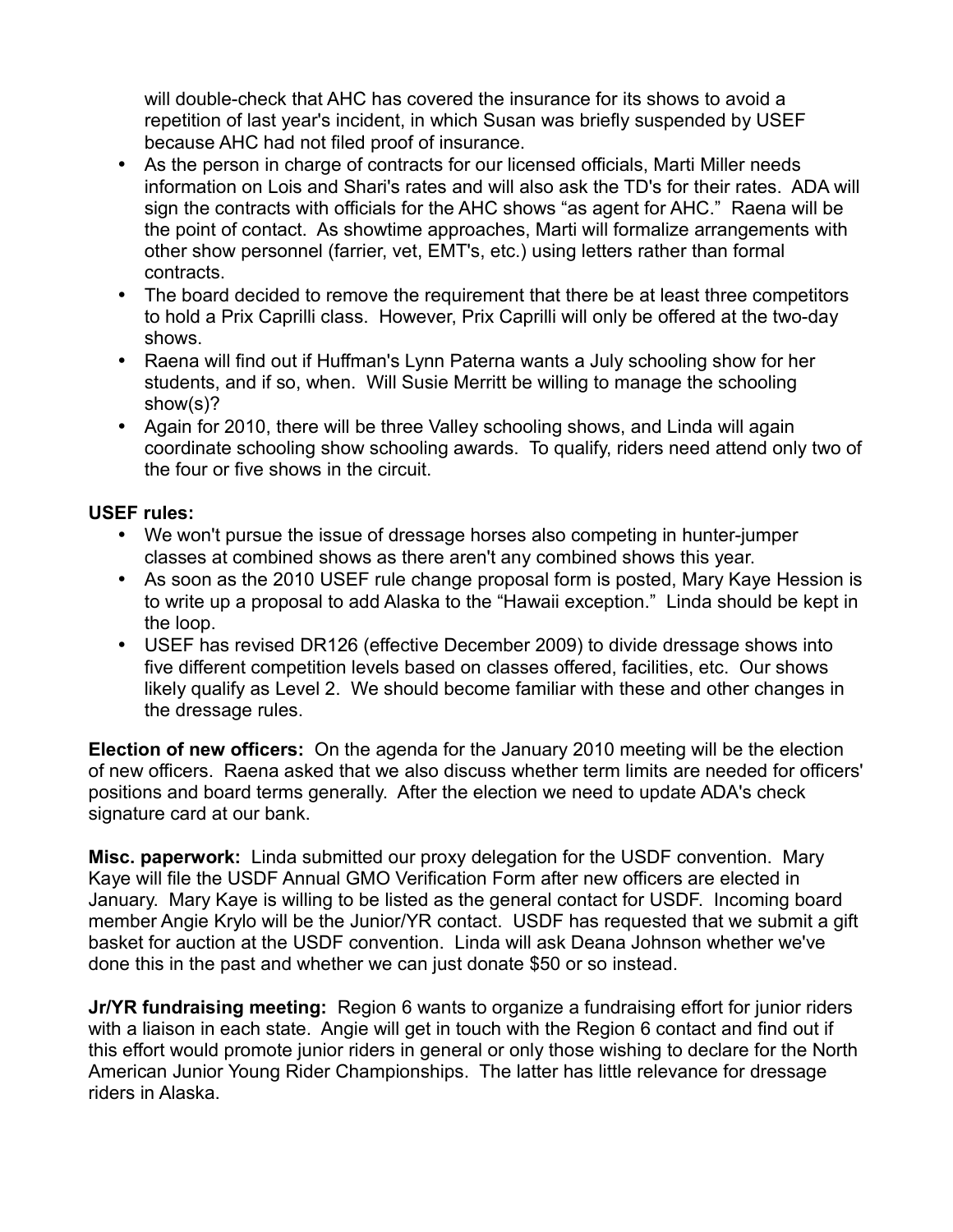will double-check that AHC has covered the insurance for its shows to avoid a repetition of last year's incident, in which Susan was briefly suspended by USEF because AHC had not filed proof of insurance.

- As the person in charge of contracts for our licensed officials, Marti Miller needs information on Lois and Shari's rates and will also ask the TD's for their rates. ADA will sign the contracts with officials for the AHC shows "as agent for AHC." Raena will be the point of contact. As showtime approaches, Marti will formalize arrangements with other show personnel (farrier, vet, EMT's, etc.) using letters rather than formal contracts.
- The board decided to remove the requirement that there be at least three competitors to hold a Prix Caprilli class. However, Prix Caprilli will only be offered at the two-day shows.
- Raena will find out if Huffman's Lynn Paterna wants a July schooling show for her students, and if so, when. Will Susie Merritt be willing to manage the schooling show(s)?
- Again for 2010, there will be three Valley schooling shows, and Linda will again coordinate schooling show schooling awards. To qualify, riders need attend only two of the four or five shows in the circuit.

# **USEF rules:**

- We won't pursue the issue of dressage horses also competing in hunter-jumper classes at combined shows as there aren't any combined shows this year.
- As soon as the 2010 USEF rule change proposal form is posted, Mary Kaye Hession is to write up a proposal to add Alaska to the "Hawaii exception." Linda should be kept in the loop.
- USEF has revised DR126 (effective December 2009) to divide dressage shows into five different competition levels based on classes offered, facilities, etc. Our shows likely qualify as Level 2. We should become familiar with these and other changes in the dressage rules.

**Election of new officers:** On the agenda for the January 2010 meeting will be the election of new officers. Raena asked that we also discuss whether term limits are needed for officers' positions and board terms generally. After the election we need to update ADA's check signature card at our bank.

**Misc. paperwork:** Linda submitted our proxy delegation for the USDF convention. Mary Kaye will file the USDF Annual GMO Verification Form after new officers are elected in January. Mary Kaye is willing to be listed as the general contact for USDF. Incoming board member Angie Krylo will be the Junior/YR contact. USDF has requested that we submit a gift basket for auction at the USDF convention. Linda will ask Deana Johnson whether we've done this in the past and whether we can just donate \$50 or so instead.

**Jr/YR fundraising meeting:** Region 6 wants to organize a fundraising effort for junior riders with a liaison in each state. Angie will get in touch with the Region 6 contact and find out if this effort would promote junior riders in general or only those wishing to declare for the North American Junior Young Rider Championships. The latter has little relevance for dressage riders in Alaska.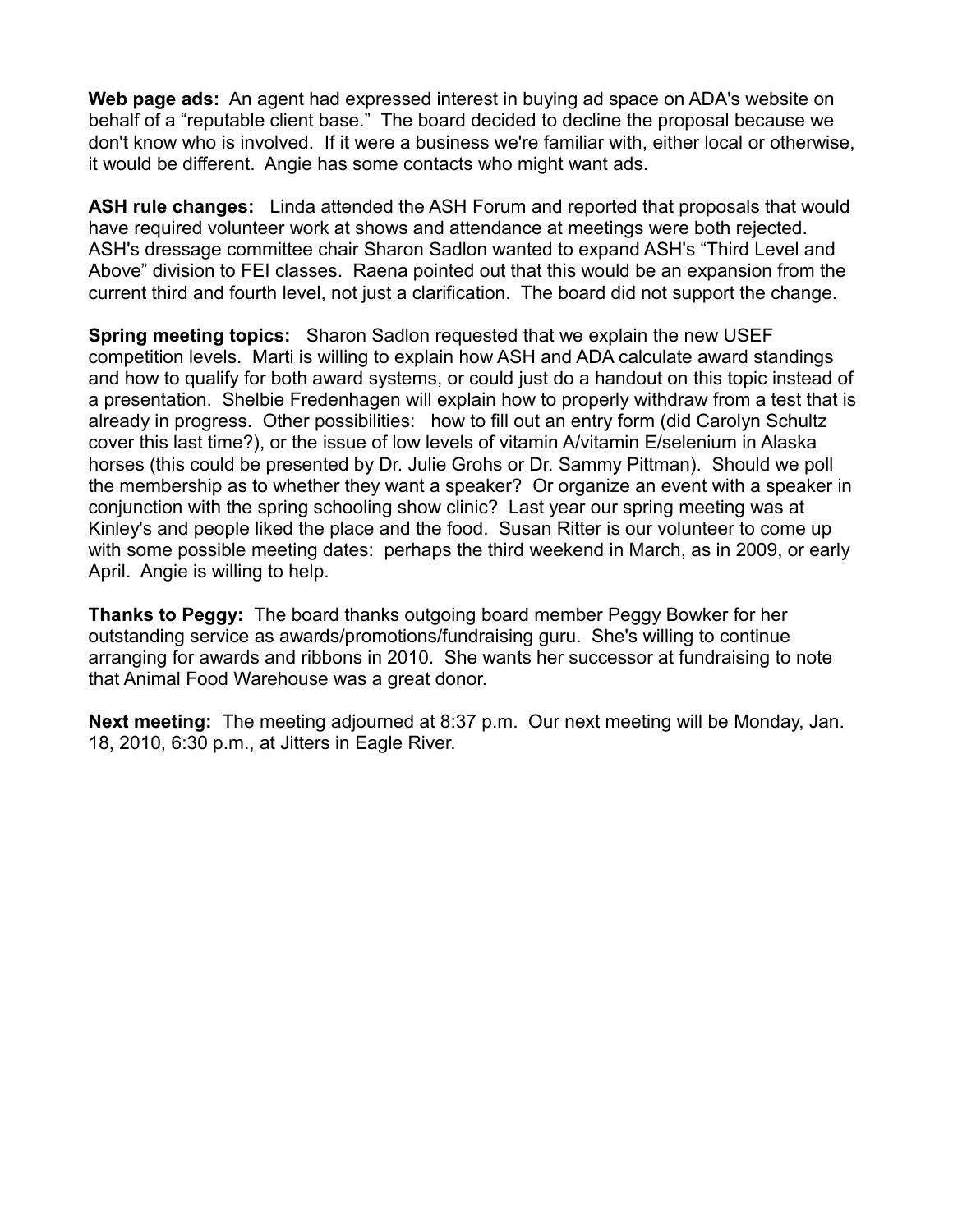**Web page ads:** An agent had expressed interest in buying ad space on ADA's website on behalf of a "reputable client base." The board decided to decline the proposal because we don't know who is involved. If it were a business we're familiar with, either local or otherwise, it would be different. Angie has some contacts who might want ads.

**ASH rule changes:** Linda attended the ASH Forum and reported that proposals that would have required volunteer work at shows and attendance at meetings were both rejected. ASH's dressage committee chair Sharon Sadlon wanted to expand ASH's "Third Level and Above" division to FEI classes. Raena pointed out that this would be an expansion from the current third and fourth level, not just a clarification. The board did not support the change.

**Spring meeting topics:** Sharon Sadlon requested that we explain the new USEF competition levels. Marti is willing to explain how ASH and ADA calculate award standings and how to qualify for both award systems, or could just do a handout on this topic instead of a presentation. Shelbie Fredenhagen will explain how to properly withdraw from a test that is already in progress. Other possibilities: how to fill out an entry form (did Carolyn Schultz cover this last time?), or the issue of low levels of vitamin A/vitamin E/selenium in Alaska horses (this could be presented by Dr. Julie Grohs or Dr. Sammy Pittman). Should we poll the membership as to whether they want a speaker? Or organize an event with a speaker in conjunction with the spring schooling show clinic? Last year our spring meeting was at Kinley's and people liked the place and the food. Susan Ritter is our volunteer to come up with some possible meeting dates: perhaps the third weekend in March, as in 2009, or early April. Angie is willing to help.

**Thanks to Peggy:** The board thanks outgoing board member Peggy Bowker for her outstanding service as awards/promotions/fundraising guru. She's willing to continue arranging for awards and ribbons in 2010. She wants her successor at fundraising to note that Animal Food Warehouse was a great donor.

**Next meeting:** The meeting adjourned at 8:37 p.m. Our next meeting will be Monday, Jan. 18, 2010, 6:30 p.m., at Jitters in Eagle River.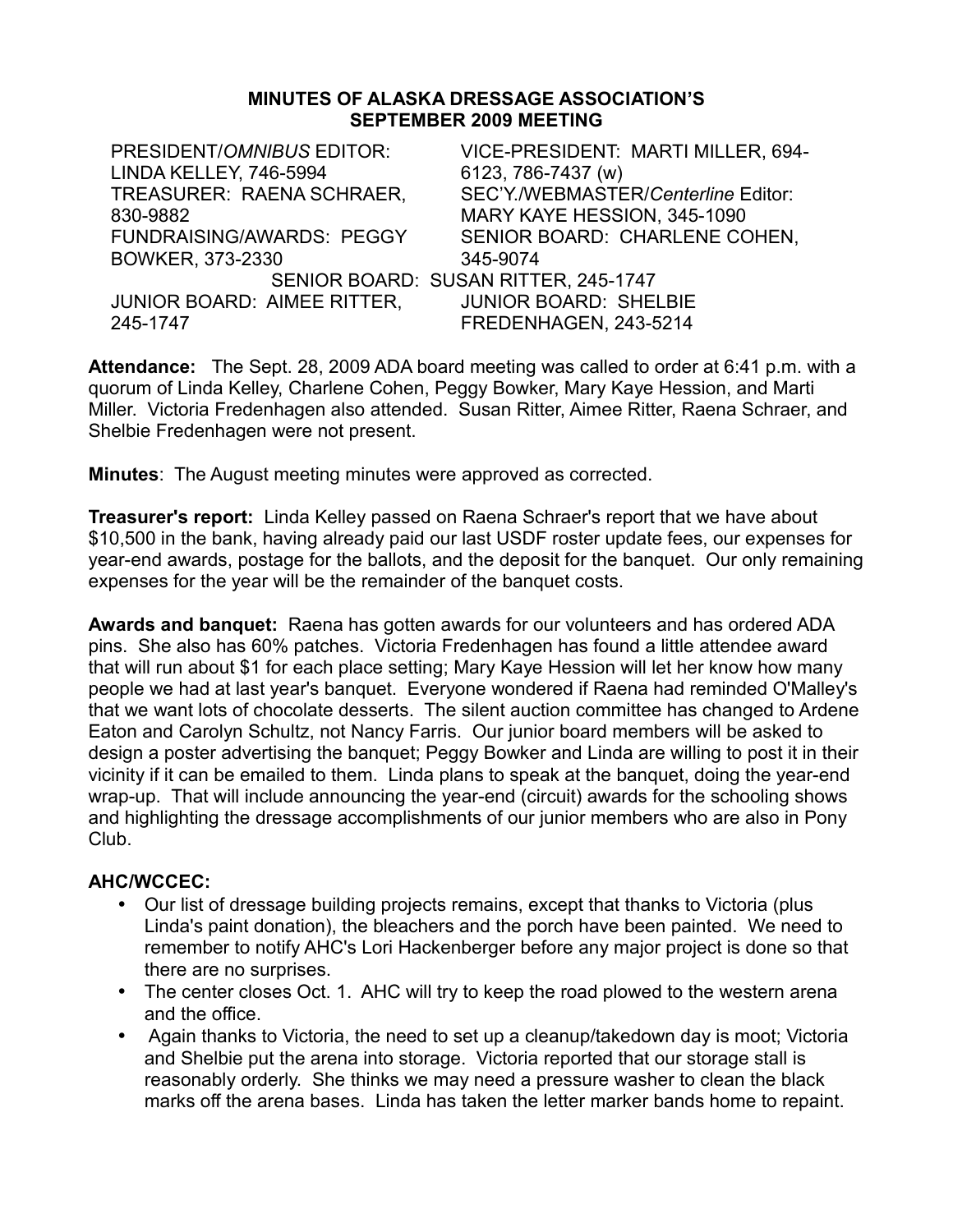#### **MINUTES OF ALASKA DRESSAGE ASSOCIATION'S SEPTEMBER 2009 MEETING**

| PRESIDENT/OMNIBUS EDITOR:          | VICE-PRESIDENT: MARTI MILLER, 694-   |
|------------------------------------|--------------------------------------|
| LINDA KELLEY, 746-5994             | 6123, 786-7437 (w)                   |
| TREASURER: RAENA SCHRAER,          | SEC'Y./WEBMASTER/Centerline Editor:  |
| 830-9882                           | MARY KAYE HESSION, 345-1090          |
| <b>FUNDRAISING/AWARDS: PEGGY</b>   | SENIOR BOARD: CHARLENE COHEN,        |
| BOWKER, 373-2330                   | 345-9074                             |
|                                    | SENIOR BOARD: SUSAN RITTER, 245-1747 |
| <b>JUNIOR BOARD: AIMEE RITTER,</b> | <b>JUNIOR BOARD: SHELBIE</b>         |
| 245-1747                           | FREDENHAGEN, 243-5214                |

**Attendance:** The Sept. 28, 2009 ADA board meeting was called to order at 6:41 p.m. with a quorum of Linda Kelley, Charlene Cohen, Peggy Bowker, Mary Kaye Hession, and Marti Miller. Victoria Fredenhagen also attended. Susan Ritter, Aimee Ritter, Raena Schraer, and Shelbie Fredenhagen were not present.

**Minutes**: The August meeting minutes were approved as corrected.

**Treasurer's report:** Linda Kelley passed on Raena Schraer's report that we have about \$10,500 in the bank, having already paid our last USDF roster update fees, our expenses for year-end awards, postage for the ballots, and the deposit for the banquet. Our only remaining expenses for the year will be the remainder of the banquet costs.

**Awards and banquet:** Raena has gotten awards for our volunteers and has ordered ADA pins. She also has 60% patches. Victoria Fredenhagen has found a little attendee award that will run about \$1 for each place setting; Mary Kaye Hession will let her know how many people we had at last year's banquet. Everyone wondered if Raena had reminded O'Malley's that we want lots of chocolate desserts. The silent auction committee has changed to Ardene Eaton and Carolyn Schultz, not Nancy Farris. Our junior board members will be asked to design a poster advertising the banquet; Peggy Bowker and Linda are willing to post it in their vicinity if it can be emailed to them. Linda plans to speak at the banquet, doing the year-end wrap-up. That will include announcing the year-end (circuit) awards for the schooling shows and highlighting the dressage accomplishments of our junior members who are also in Pony Club.

# **AHC/WCCEC:**

- Our list of dressage building projects remains, except that thanks to Victoria (plus Linda's paint donation), the bleachers and the porch have been painted. We need to remember to notify AHC's Lori Hackenberger before any major project is done so that there are no surprises.
- The center closes Oct. 1. AHC will try to keep the road plowed to the western arena and the office.
- Again thanks to Victoria, the need to set up a cleanup/takedown day is moot; Victoria and Shelbie put the arena into storage. Victoria reported that our storage stall is reasonably orderly. She thinks we may need a pressure washer to clean the black marks off the arena bases. Linda has taken the letter marker bands home to repaint.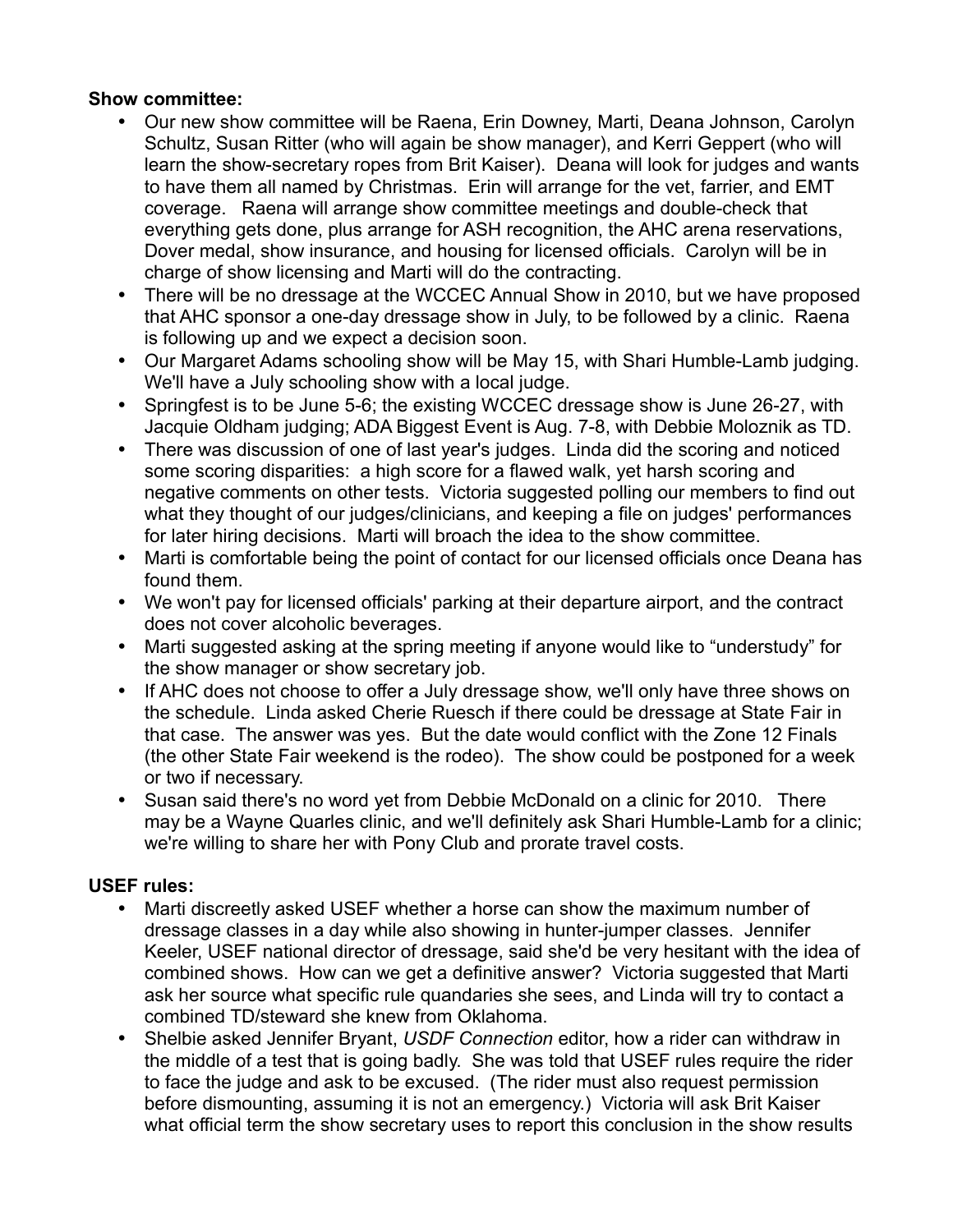# **Show committee:**

- Our new show committee will be Raena, Erin Downey, Marti, Deana Johnson, Carolyn Schultz, Susan Ritter (who will again be show manager), and Kerri Geppert (who will learn the show-secretary ropes from Brit Kaiser). Deana will look for judges and wants to have them all named by Christmas. Erin will arrange for the vet, farrier, and EMT coverage. Raena will arrange show committee meetings and double-check that everything gets done, plus arrange for ASH recognition, the AHC arena reservations, Dover medal, show insurance, and housing for licensed officials. Carolyn will be in charge of show licensing and Marti will do the contracting.
- There will be no dressage at the WCCEC Annual Show in 2010, but we have proposed that AHC sponsor a one-day dressage show in July, to be followed by a clinic. Raena is following up and we expect a decision soon.
- Our Margaret Adams schooling show will be May 15, with Shari Humble-Lamb judging. We'll have a July schooling show with a local judge.
- Springfest is to be June 5-6; the existing WCCEC dressage show is June 26-27, with Jacquie Oldham judging; ADA Biggest Event is Aug. 7-8, with Debbie Moloznik as TD.
- There was discussion of one of last year's judges. Linda did the scoring and noticed some scoring disparities: a high score for a flawed walk, yet harsh scoring and negative comments on other tests. Victoria suggested polling our members to find out what they thought of our judges/clinicians, and keeping a file on judges' performances for later hiring decisions. Marti will broach the idea to the show committee.
- Marti is comfortable being the point of contact for our licensed officials once Deana has found them.
- We won't pay for licensed officials' parking at their departure airport, and the contract does not cover alcoholic beverages.
- Marti suggested asking at the spring meeting if anyone would like to "understudy" for the show manager or show secretary job.
- If AHC does not choose to offer a July dressage show, we'll only have three shows on the schedule. Linda asked Cherie Ruesch if there could be dressage at State Fair in that case. The answer was yes. But the date would conflict with the Zone 12 Finals (the other State Fair weekend is the rodeo). The show could be postponed for a week or two if necessary.
- Susan said there's no word yet from Debbie McDonald on a clinic for 2010. There may be a Wayne Quarles clinic, and we'll definitely ask Shari Humble-Lamb for a clinic; we're willing to share her with Pony Club and prorate travel costs.

# **USEF rules:**

- Marti discreetly asked USEF whether a horse can show the maximum number of dressage classes in a day while also showing in hunter-jumper classes. Jennifer Keeler, USEF national director of dressage, said she'd be very hesitant with the idea of combined shows. How can we get a definitive answer? Victoria suggested that Marti ask her source what specific rule quandaries she sees, and Linda will try to contact a combined TD/steward she knew from Oklahoma.
- Shelbie asked Jennifer Bryant, *USDF Connection* editor, how a rider can withdraw in the middle of a test that is going badly. She was told that USEF rules require the rider to face the judge and ask to be excused. (The rider must also request permission before dismounting, assuming it is not an emergency.) Victoria will ask Brit Kaiser what official term the show secretary uses to report this conclusion in the show results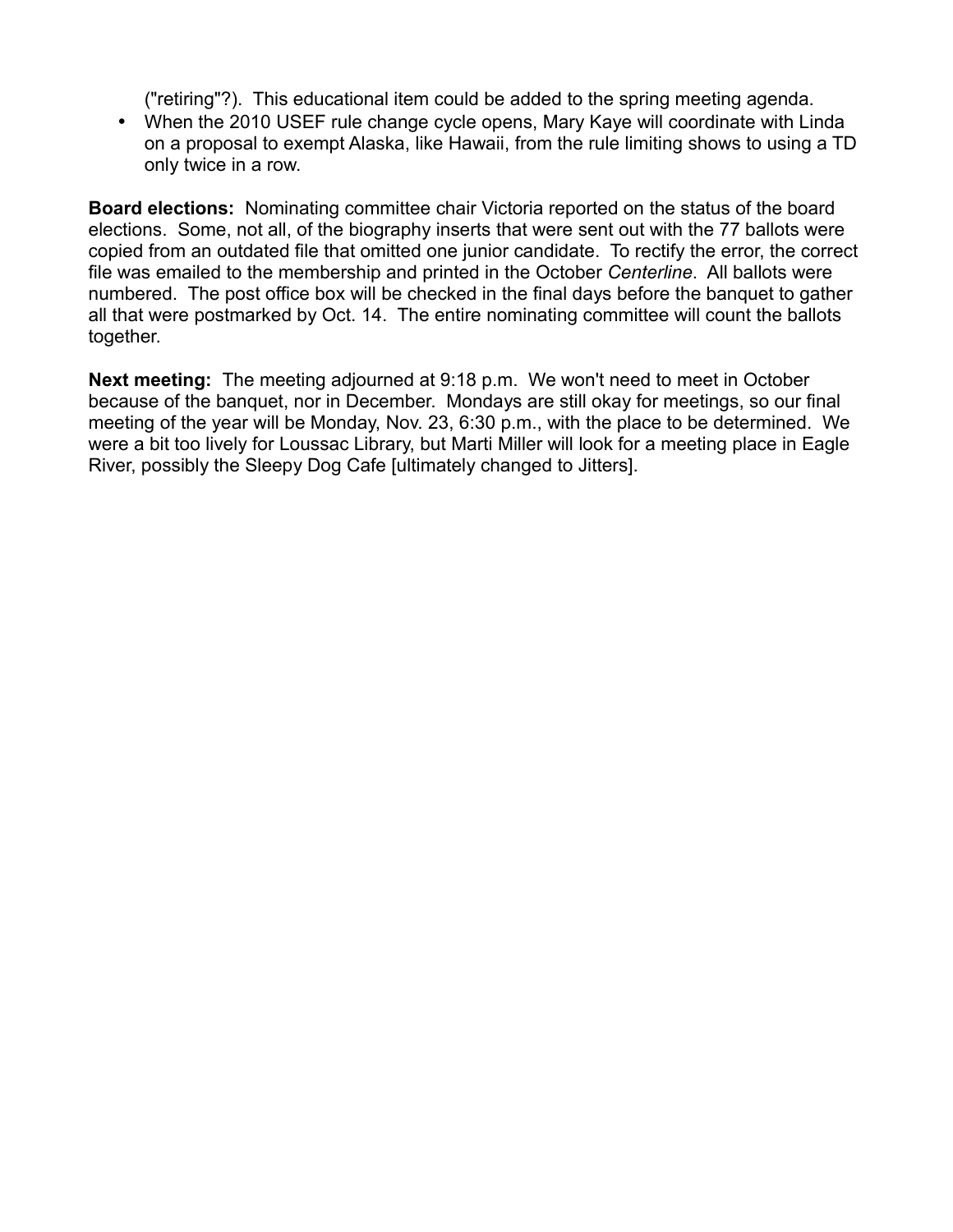("retiring"?). This educational item could be added to the spring meeting agenda.

• When the 2010 USEF rule change cycle opens, Mary Kaye will coordinate with Linda on a proposal to exempt Alaska, like Hawaii, from the rule limiting shows to using a TD only twice in a row.

**Board elections:** Nominating committee chair Victoria reported on the status of the board elections. Some, not all, of the biography inserts that were sent out with the 77 ballots were copied from an outdated file that omitted one junior candidate. To rectify the error, the correct file was emailed to the membership and printed in the October *Centerline*. All ballots were numbered. The post office box will be checked in the final days before the banquet to gather all that were postmarked by Oct. 14. The entire nominating committee will count the ballots together.

**Next meeting:** The meeting adjourned at 9:18 p.m. We won't need to meet in October because of the banquet, nor in December. Mondays are still okay for meetings, so our final meeting of the year will be Monday, Nov. 23, 6:30 p.m., with the place to be determined. We were a bit too lively for Loussac Library, but Marti Miller will look for a meeting place in Eagle River, possibly the Sleepy Dog Cafe [ultimately changed to Jitters].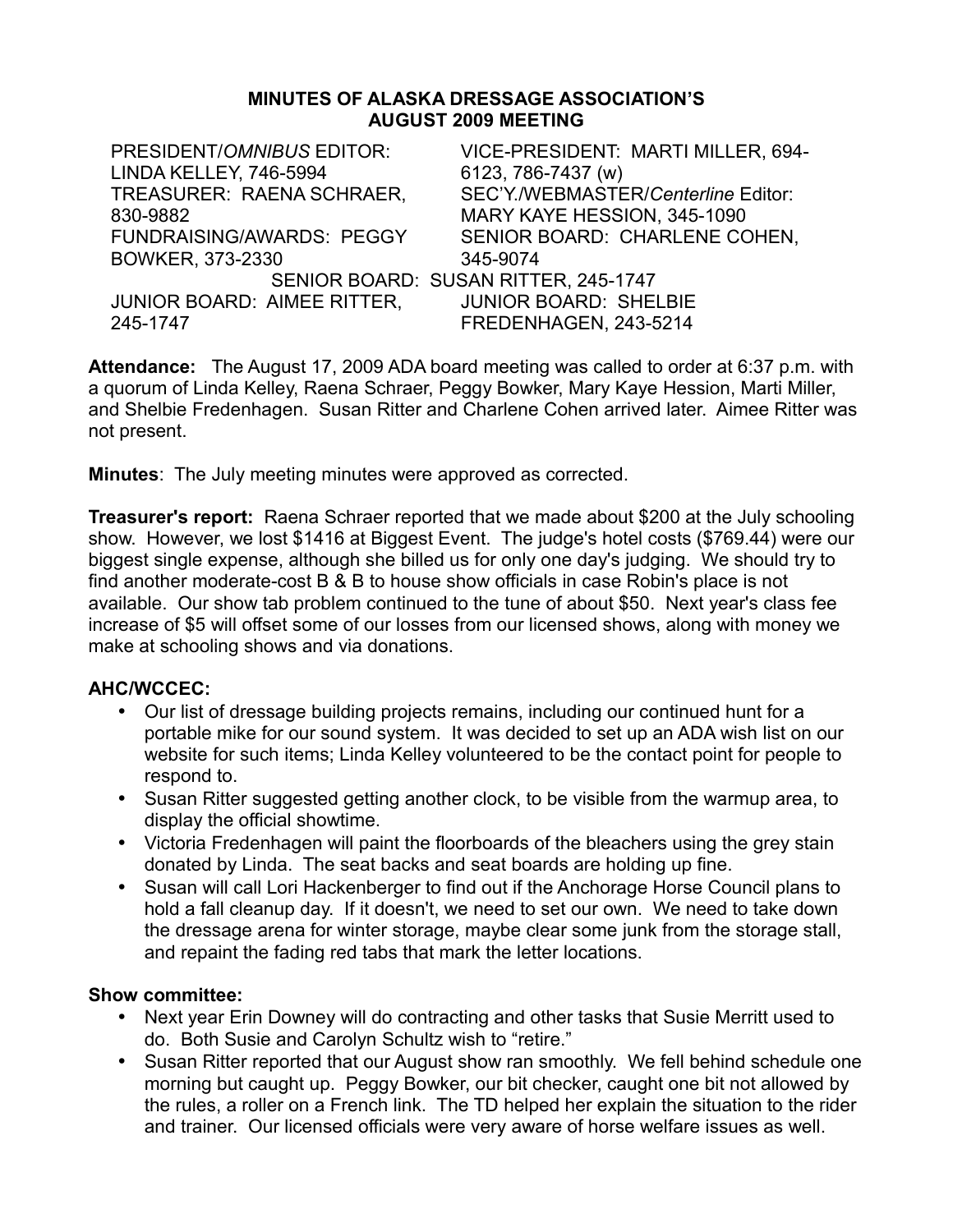#### **MINUTES OF ALASKA DRESSAGE ASSOCIATION'S AUGUST 2009 MEETING**

| PRESIDENT/OMNIBUS EDITOR:          | VICE-PRESIDENT: MARTI MILLER, 694-   |
|------------------------------------|--------------------------------------|
| LINDA KELLEY, 746-5994             | 6123, 786-7437 (w)                   |
| TREASURER: RAENA SCHRAER,          | SEC'Y./WEBMASTER/Centerline Editor:  |
| 830-9882                           | MARY KAYE HESSION, 345-1090          |
| <b>FUNDRAISING/AWARDS: PEGGY</b>   | SENIOR BOARD: CHARLENE COHEN,        |
| BOWKER, 373-2330                   | 345-9074                             |
|                                    | SENIOR BOARD: SUSAN RITTER, 245-1747 |
| <b>JUNIOR BOARD: AIMEE RITTER,</b> | <b>JUNIOR BOARD: SHELBIE</b>         |
| 245-1747                           | FREDENHAGEN, 243-5214                |

**Attendance:** The August 17, 2009 ADA board meeting was called to order at 6:37 p.m. with a quorum of Linda Kelley, Raena Schraer, Peggy Bowker, Mary Kaye Hession, Marti Miller, and Shelbie Fredenhagen. Susan Ritter and Charlene Cohen arrived later. Aimee Ritter was not present.

**Minutes**: The July meeting minutes were approved as corrected.

**Treasurer's report:** Raena Schraer reported that we made about \$200 at the July schooling show. However, we lost \$1416 at Biggest Event. The judge's hotel costs (\$769.44) were our biggest single expense, although she billed us for only one day's judging. We should try to find another moderate-cost B & B to house show officials in case Robin's place is not available. Our show tab problem continued to the tune of about \$50. Next year's class fee increase of \$5 will offset some of our losses from our licensed shows, along with money we make at schooling shows and via donations.

# **AHC/WCCEC:**

- Our list of dressage building projects remains, including our continued hunt for a portable mike for our sound system. It was decided to set up an ADA wish list on our website for such items; Linda Kelley volunteered to be the contact point for people to respond to.
- Susan Ritter suggested getting another clock, to be visible from the warmup area, to display the official showtime.
- Victoria Fredenhagen will paint the floorboards of the bleachers using the grey stain donated by Linda. The seat backs and seat boards are holding up fine.
- Susan will call Lori Hackenberger to find out if the Anchorage Horse Council plans to hold a fall cleanup day. If it doesn't, we need to set our own. We need to take down the dressage arena for winter storage, maybe clear some junk from the storage stall, and repaint the fading red tabs that mark the letter locations.

- Next year Erin Downey will do contracting and other tasks that Susie Merritt used to do. Both Susie and Carolyn Schultz wish to "retire."
- Susan Ritter reported that our August show ran smoothly. We fell behind schedule one morning but caught up. Peggy Bowker, our bit checker, caught one bit not allowed by the rules, a roller on a French link. The TD helped her explain the situation to the rider and trainer. Our licensed officials were very aware of horse welfare issues as well.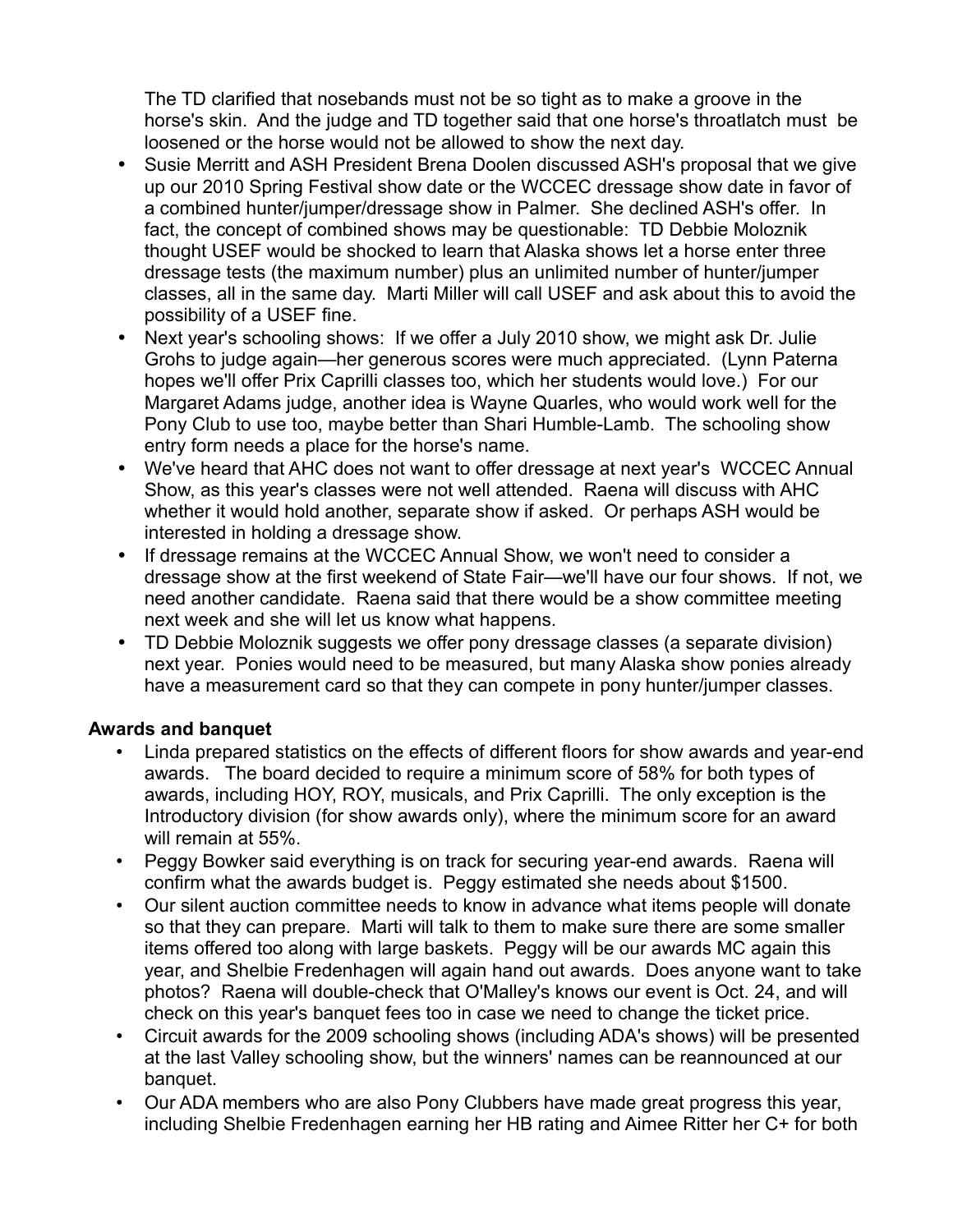The TD clarified that nosebands must not be so tight as to make a groove in the horse's skin. And the judge and TD together said that one horse's throatlatch must be loosened or the horse would not be allowed to show the next day.

- Susie Merritt and ASH President Brena Doolen discussed ASH's proposal that we give up our 2010 Spring Festival show date or the WCCEC dressage show date in favor of a combined hunter/jumper/dressage show in Palmer. She declined ASH's offer. In fact, the concept of combined shows may be questionable: TD Debbie Moloznik thought USEF would be shocked to learn that Alaska shows let a horse enter three dressage tests (the maximum number) plus an unlimited number of hunter/jumper classes, all in the same day. Marti Miller will call USEF and ask about this to avoid the possibility of a USEF fine.
- Next year's schooling shows: If we offer a July 2010 show, we might ask Dr. Julie Grohs to judge again—her generous scores were much appreciated. (Lynn Paterna hopes we'll offer Prix Caprilli classes too, which her students would love.) For our Margaret Adams judge, another idea is Wayne Quarles, who would work well for the Pony Club to use too, maybe better than Shari Humble-Lamb. The schooling show entry form needs a place for the horse's name.
- We've heard that AHC does not want to offer dressage at next year's WCCEC Annual Show, as this year's classes were not well attended. Raena will discuss with AHC whether it would hold another, separate show if asked. Or perhaps ASH would be interested in holding a dressage show.
- If dressage remains at the WCCEC Annual Show, we won't need to consider a dressage show at the first weekend of State Fair—we'll have our four shows. If not, we need another candidate. Raena said that there would be a show committee meeting next week and she will let us know what happens.
- TD Debbie Moloznik suggests we offer pony dressage classes (a separate division) next year. Ponies would need to be measured, but many Alaska show ponies already have a measurement card so that they can compete in pony hunter/jumper classes.

# **Awards and banquet**

- Linda prepared statistics on the effects of different floors for show awards and year-end awards. The board decided to require a minimum score of 58% for both types of awards, including HOY, ROY, musicals, and Prix Caprilli. The only exception is the Introductory division (for show awards only), where the minimum score for an award will remain at 55%.
- Peggy Bowker said everything is on track for securing year-end awards. Raena will confirm what the awards budget is. Peggy estimated she needs about \$1500.
- Our silent auction committee needs to know in advance what items people will donate so that they can prepare. Marti will talk to them to make sure there are some smaller items offered too along with large baskets. Peggy will be our awards MC again this year, and Shelbie Fredenhagen will again hand out awards. Does anyone want to take photos? Raena will double-check that O'Malley's knows our event is Oct. 24, and will check on this year's banquet fees too in case we need to change the ticket price.
- Circuit awards for the 2009 schooling shows (including ADA's shows) will be presented at the last Valley schooling show, but the winners' names can be reannounced at our banquet.
- Our ADA members who are also Pony Clubbers have made great progress this year, including Shelbie Fredenhagen earning her HB rating and Aimee Ritter her C+ for both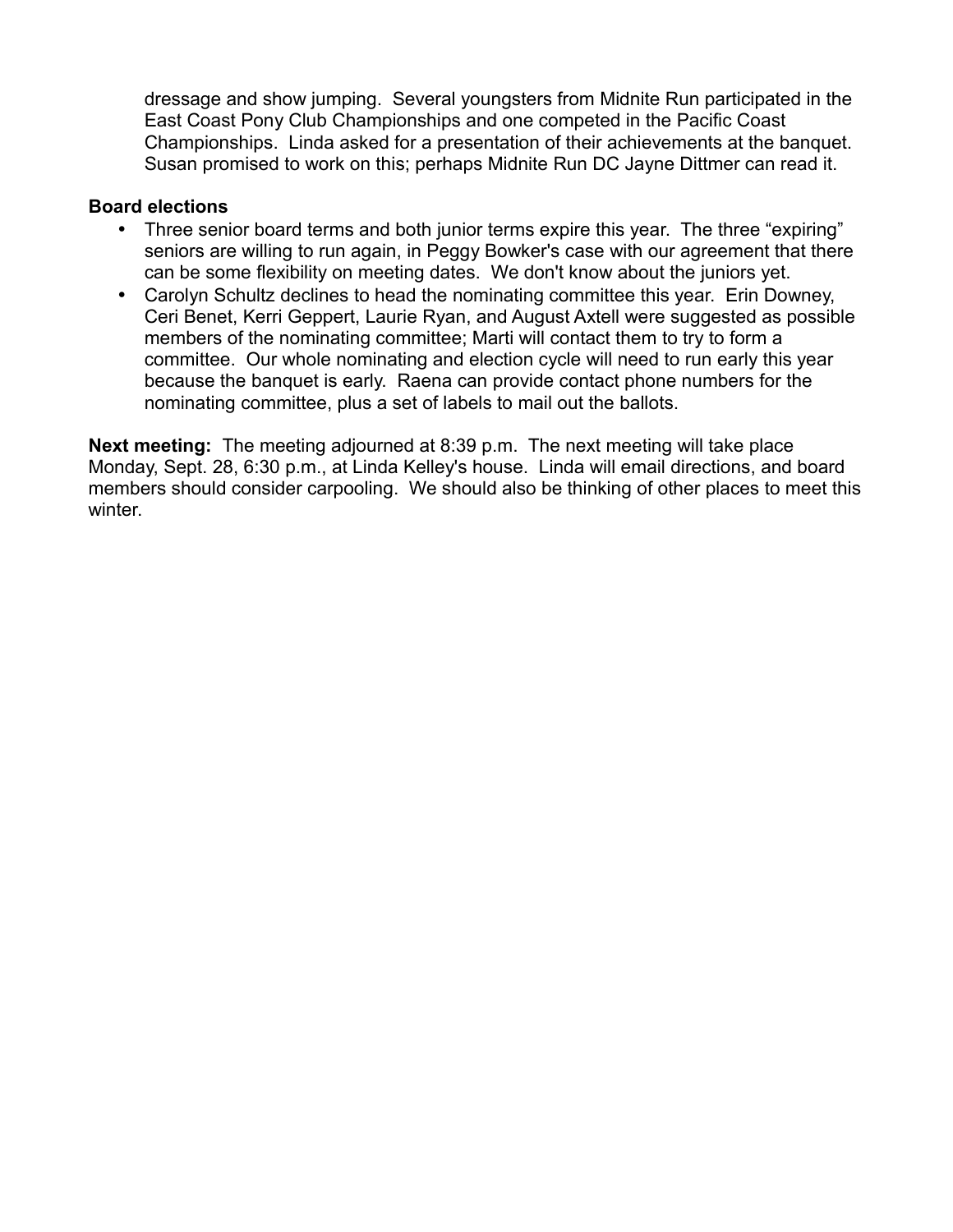dressage and show jumping. Several youngsters from Midnite Run participated in the East Coast Pony Club Championships and one competed in the Pacific Coast Championships. Linda asked for a presentation of their achievements at the banquet. Susan promised to work on this; perhaps Midnite Run DC Jayne Dittmer can read it.

## **Board elections**

- Three senior board terms and both junior terms expire this year. The three "expiring" seniors are willing to run again, in Peggy Bowker's case with our agreement that there can be some flexibility on meeting dates. We don't know about the juniors yet.
- Carolyn Schultz declines to head the nominating committee this year. Erin Downey, Ceri Benet, Kerri Geppert, Laurie Ryan, and August Axtell were suggested as possible members of the nominating committee; Marti will contact them to try to form a committee. Our whole nominating and election cycle will need to run early this year because the banquet is early. Raena can provide contact phone numbers for the nominating committee, plus a set of labels to mail out the ballots.

**Next meeting:** The meeting adjourned at 8:39 p.m. The next meeting will take place Monday, Sept. 28, 6:30 p.m., at Linda Kelley's house. Linda will email directions, and board members should consider carpooling. We should also be thinking of other places to meet this winter.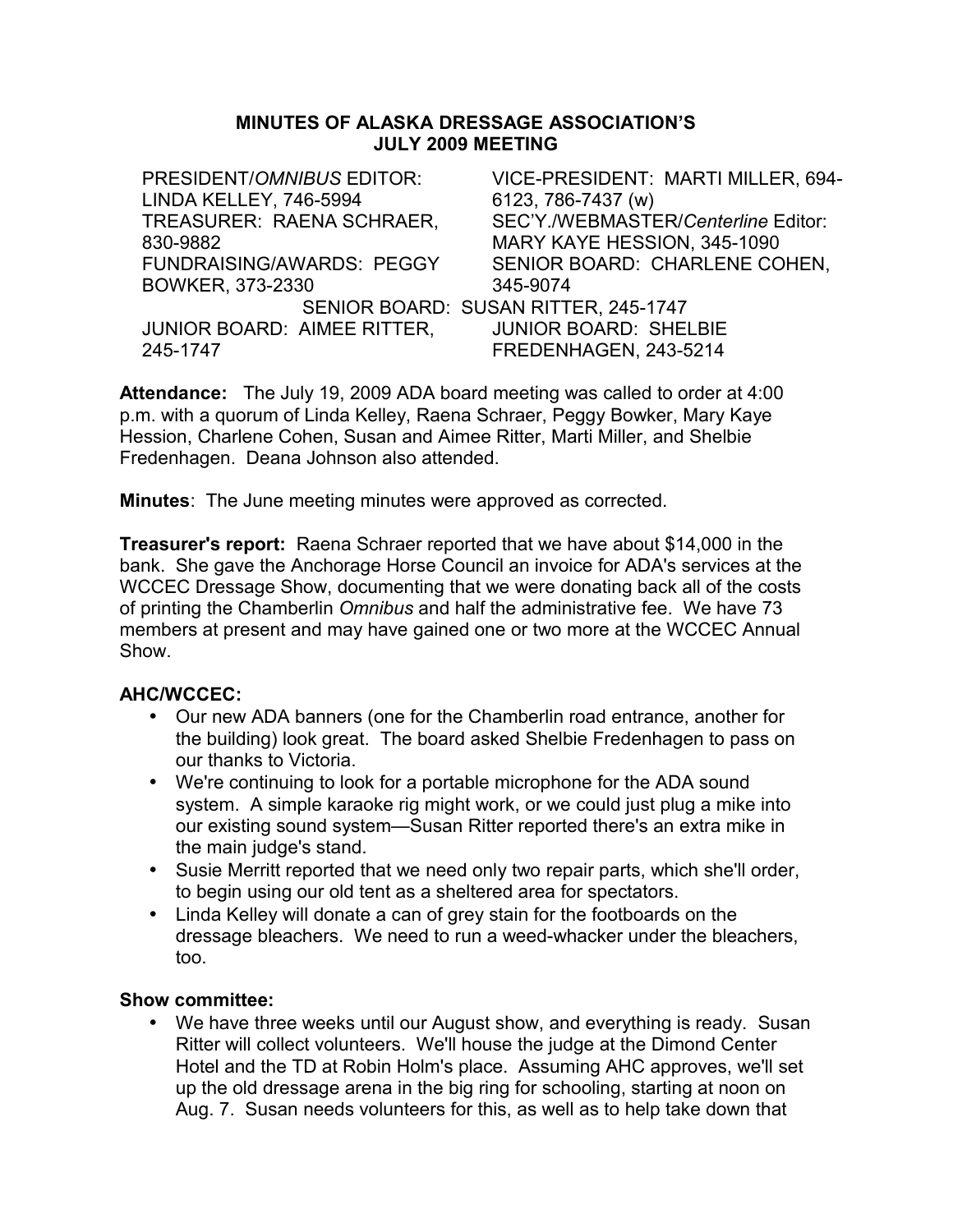#### **MINUTES OF ALASKA DRESSAGE ASSOCIATION'S JULY 2009 MEETING**

PRESIDENT/*OMNIBUS* EDITOR: LINDA KELLEY, 746-5994 VICE-PRESIDENT: MARTI MILLER, 694- 6123, 786-7437 (w) TREASURER: RAENA SCHRAER, 830-9882 SEC'Y./WEBMASTER/*Centerline* Editor: MARY KAYE HESSION, 345-1090 FUNDRAISING/AWARDS: PEGGY BOWKER, 373-2330 SENIOR BOARD: CHARLENE COHEN, 345-9074 SENIOR BOARD: SUSAN RITTER, 245-1747 JUNIOR BOARD: AIMEE RITTER, 245-1747 JUNIOR BOARD: SHELBIE FREDENHAGEN, 243-5214

**Attendance:** The July 19, 2009 ADA board meeting was called to order at 4:00 p.m. with a quorum of Linda Kelley, Raena Schraer, Peggy Bowker, Mary Kaye Hession, Charlene Cohen, Susan and Aimee Ritter, Marti Miller, and Shelbie Fredenhagen. Deana Johnson also attended.

**Minutes**: The June meeting minutes were approved as corrected.

**Treasurer's report:** Raena Schraer reported that we have about \$14,000 in the bank. She gave the Anchorage Horse Council an invoice for ADA's services at the WCCEC Dressage Show, documenting that we were donating back all of the costs of printing the Chamberlin *Omnibus* and half the administrative fee. We have 73 members at present and may have gained one or two more at the WCCEC Annual Show.

## **AHC/WCCEC:**

- Our new ADA banners (one for the Chamberlin road entrance, another for the building) look great. The board asked Shelbie Fredenhagen to pass on our thanks to Victoria.
- We're continuing to look for a portable microphone for the ADA sound system. A simple karaoke rig might work, or we could just plug a mike into our existing sound system—Susan Ritter reported there's an extra mike in the main judge's stand.
- Susie Merritt reported that we need only two repair parts, which she'll order, to begin using our old tent as a sheltered area for spectators.
- Linda Kelley will donate a can of grey stain for the footboards on the dressage bleachers. We need to run a weed-whacker under the bleachers, too.

## **Show committee:**

• We have three weeks until our August show, and everything is ready. Susan Ritter will collect volunteers. We'll house the judge at the Dimond Center Hotel and the TD at Robin Holm's place. Assuming AHC approves, we'll set up the old dressage arena in the big ring for schooling, starting at noon on Aug. 7. Susan needs volunteers for this, as well as to help take down that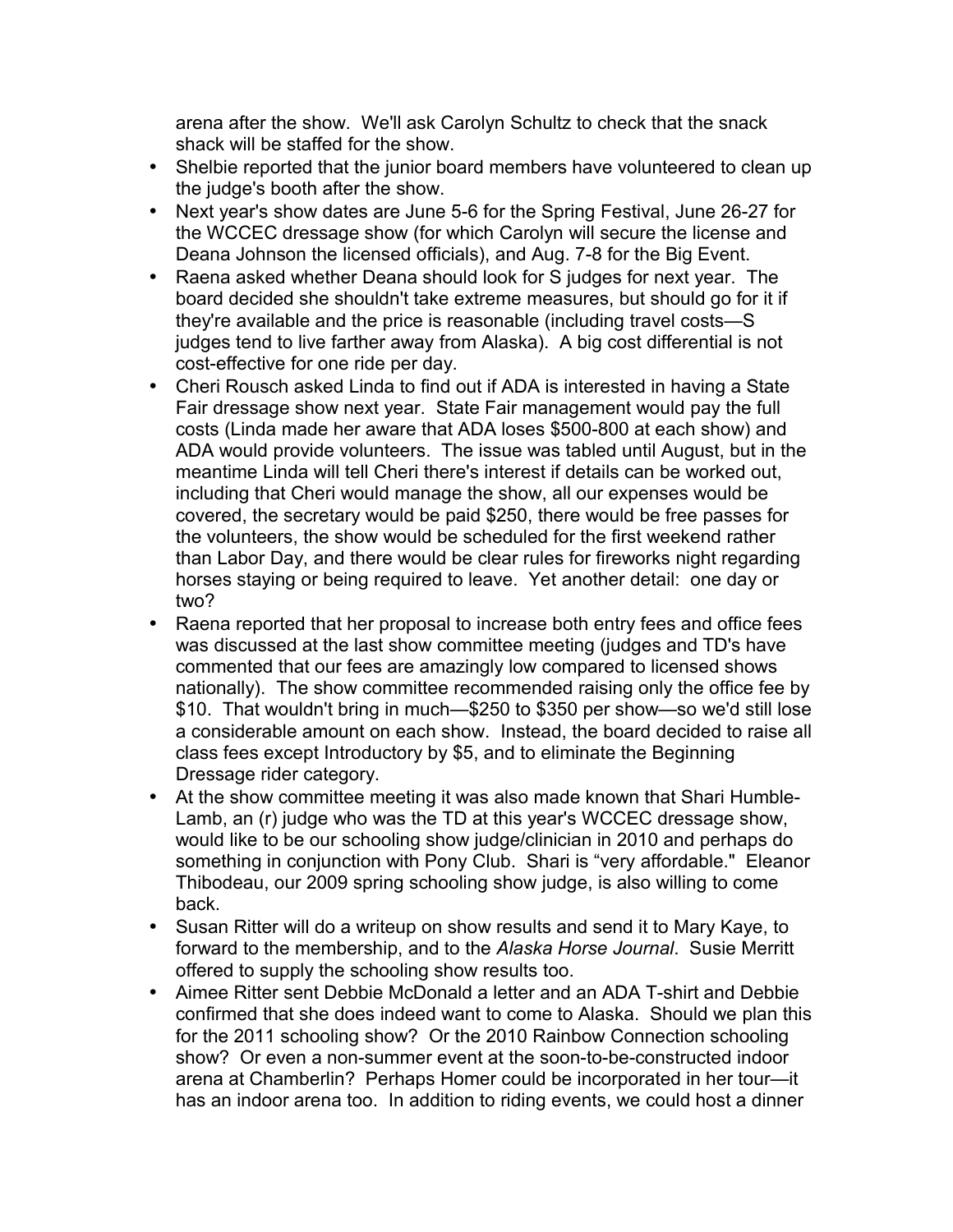arena after the show. We'll ask Carolyn Schultz to check that the snack shack will be staffed for the show.

- Shelbie reported that the junior board members have volunteered to clean up the judge's booth after the show.
- Next year's show dates are June 5-6 for the Spring Festival, June 26-27 for the WCCEC dressage show (for which Carolyn will secure the license and Deana Johnson the licensed officials), and Aug. 7-8 for the Big Event.
- Raena asked whether Deana should look for S judges for next year. The board decided she shouldn't take extreme measures, but should go for it if they're available and the price is reasonable (including travel costs—S judges tend to live farther away from Alaska). A big cost differential is not cost-effective for one ride per day.
- Cheri Rousch asked Linda to find out if ADA is interested in having a State Fair dressage show next year. State Fair management would pay the full costs (Linda made her aware that ADA loses \$500-800 at each show) and ADA would provide volunteers. The issue was tabled until August, but in the meantime Linda will tell Cheri there's interest if details can be worked out, including that Cheri would manage the show, all our expenses would be covered, the secretary would be paid \$250, there would be free passes for the volunteers, the show would be scheduled for the first weekend rather than Labor Day, and there would be clear rules for fireworks night regarding horses staying or being required to leave. Yet another detail: one day or two?
- Raena reported that her proposal to increase both entry fees and office fees was discussed at the last show committee meeting (judges and TD's have commented that our fees are amazingly low compared to licensed shows nationally). The show committee recommended raising only the office fee by \$10. That wouldn't bring in much—\$250 to \$350 per show—so we'd still lose a considerable amount on each show. Instead, the board decided to raise all class fees except Introductory by \$5, and to eliminate the Beginning Dressage rider category.
- At the show committee meeting it was also made known that Shari Humble-Lamb, an (r) judge who was the TD at this year's WCCEC dressage show, would like to be our schooling show judge/clinician in 2010 and perhaps do something in conjunction with Pony Club. Shari is "very affordable." Eleanor Thibodeau, our 2009 spring schooling show judge, is also willing to come back.
- Susan Ritter will do a writeup on show results and send it to Mary Kaye, to forward to the membership, and to the *Alaska Horse Journal*. Susie Merritt offered to supply the schooling show results too.
- Aimee Ritter sent Debbie McDonald a letter and an ADA T-shirt and Debbie confirmed that she does indeed want to come to Alaska. Should we plan this for the 2011 schooling show? Or the 2010 Rainbow Connection schooling show? Or even a non-summer event at the soon-to-be-constructed indoor arena at Chamberlin? Perhaps Homer could be incorporated in her tour—it has an indoor arena too. In addition to riding events, we could host a dinner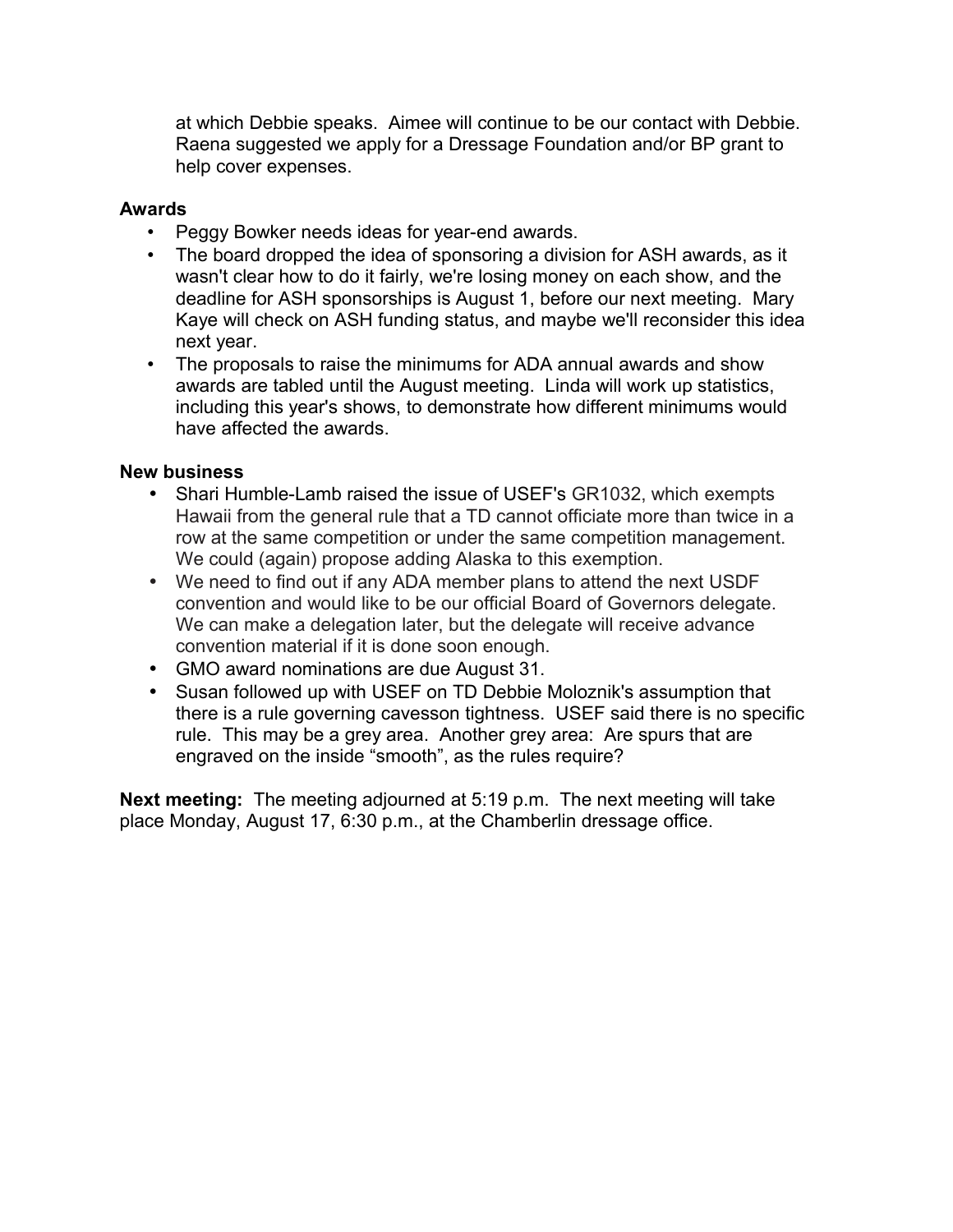at which Debbie speaks. Aimee will continue to be our contact with Debbie. Raena suggested we apply for a Dressage Foundation and/or BP grant to help cover expenses.

### **Awards**

- Peggy Bowker needs ideas for year-end awards.
- The board dropped the idea of sponsoring a division for ASH awards, as it wasn't clear how to do it fairly, we're losing money on each show, and the deadline for ASH sponsorships is August 1, before our next meeting. Mary Kaye will check on ASH funding status, and maybe we'll reconsider this idea next year.
- The proposals to raise the minimums for ADA annual awards and show awards are tabled until the August meeting. Linda will work up statistics, including this year's shows, to demonstrate how different minimums would have affected the awards.

## **New business**

- Shari Humble-Lamb raised the issue of USEF's GR1032, which exempts Hawaii from the general rule that a TD cannot officiate more than twice in a row at the same competition or under the same competition management. We could (again) propose adding Alaska to this exemption.
- We need to find out if any ADA member plans to attend the next USDF convention and would like to be our official Board of Governors delegate. We can make a delegation later, but the delegate will receive advance convention material if it is done soon enough.
- GMO award nominations are due August 31.
- Susan followed up with USEF on TD Debbie Moloznik's assumption that there is a rule governing cavesson tightness. USEF said there is no specific rule. This may be a grey area. Another grey area: Are spurs that are engraved on the inside "smooth", as the rules require?

**Next meeting:** The meeting adjourned at 5:19 p.m. The next meeting will take place Monday, August 17, 6:30 p.m., at the Chamberlin dressage office.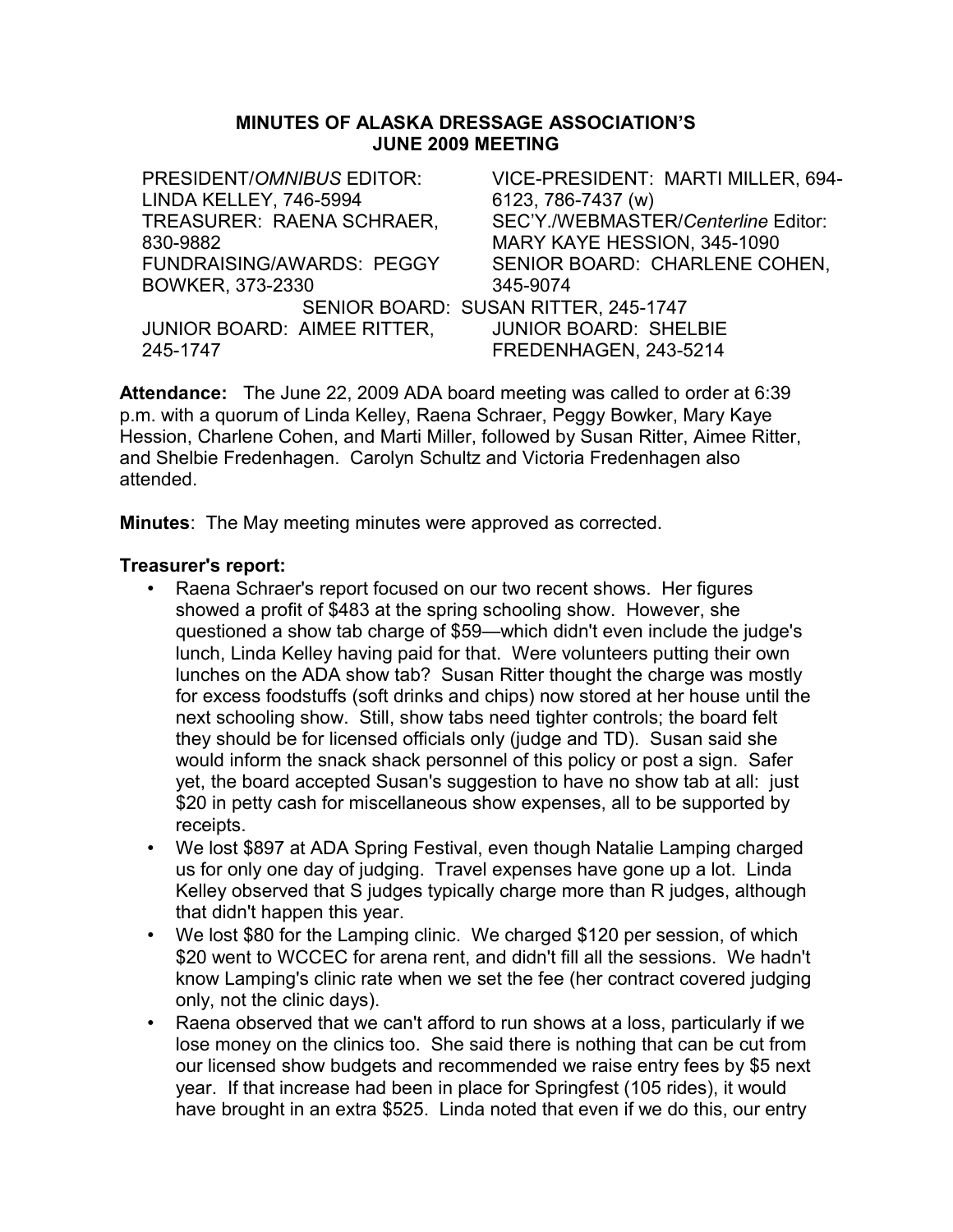#### **MINUTES OF ALASKA DRESSAGE ASSOCIATION'S JUNE 2009 MEETING**

PRESIDENT/*OMNIBUS* EDITOR: LINDA KELLEY, 746-5994 VICE-PRESIDENT: MARTI MILLER, 694- 6123, 786-7437 (w) TREASURER: RAENA SCHRAER, 830-9882 SEC'Y./WEBMASTER/*Centerline* Editor: MARY KAYE HESSION, 345-1090 FUNDRAISING/AWARDS: PEGGY BOWKER, 373-2330 SENIOR BOARD: CHARLENE COHEN, 345-9074 SENIOR BOARD: SUSAN RITTER, 245-1747 JUNIOR BOARD: AIMEE RITTER, 245-1747 JUNIOR BOARD: SHELBIE FREDENHAGEN, 243-5214

**Attendance:** The June 22, 2009 ADA board meeting was called to order at 6:39 p.m. with a quorum of Linda Kelley, Raena Schraer, Peggy Bowker, Mary Kaye Hession, Charlene Cohen, and Marti Miller, followed by Susan Ritter, Aimee Ritter, and Shelbie Fredenhagen. Carolyn Schultz and Victoria Fredenhagen also attended.

**Minutes**: The May meeting minutes were approved as corrected.

#### **Treasurer's report:**

- Raena Schraer's report focused on our two recent shows. Her figures showed a profit of \$483 at the spring schooling show. However, she questioned a show tab charge of \$59—which didn't even include the judge's lunch, Linda Kelley having paid for that. Were volunteers putting their own lunches on the ADA show tab? Susan Ritter thought the charge was mostly for excess foodstuffs (soft drinks and chips) now stored at her house until the next schooling show. Still, show tabs need tighter controls; the board felt they should be for licensed officials only (judge and TD). Susan said she would inform the snack shack personnel of this policy or post a sign. Safer yet, the board accepted Susan's suggestion to have no show tab at all: just \$20 in petty cash for miscellaneous show expenses, all to be supported by receipts.
- We lost \$897 at ADA Spring Festival, even though Natalie Lamping charged us for only one day of judging. Travel expenses have gone up a lot. Linda Kelley observed that S judges typically charge more than R judges, although that didn't happen this year.
- We lost \$80 for the Lamping clinic. We charged \$120 per session, of which \$20 went to WCCEC for arena rent, and didn't fill all the sessions. We hadn't know Lamping's clinic rate when we set the fee (her contract covered judging only, not the clinic days).
- Raena observed that we can't afford to run shows at a loss, particularly if we lose money on the clinics too. She said there is nothing that can be cut from our licensed show budgets and recommended we raise entry fees by \$5 next year. If that increase had been in place for Springfest (105 rides), it would have brought in an extra \$525. Linda noted that even if we do this, our entry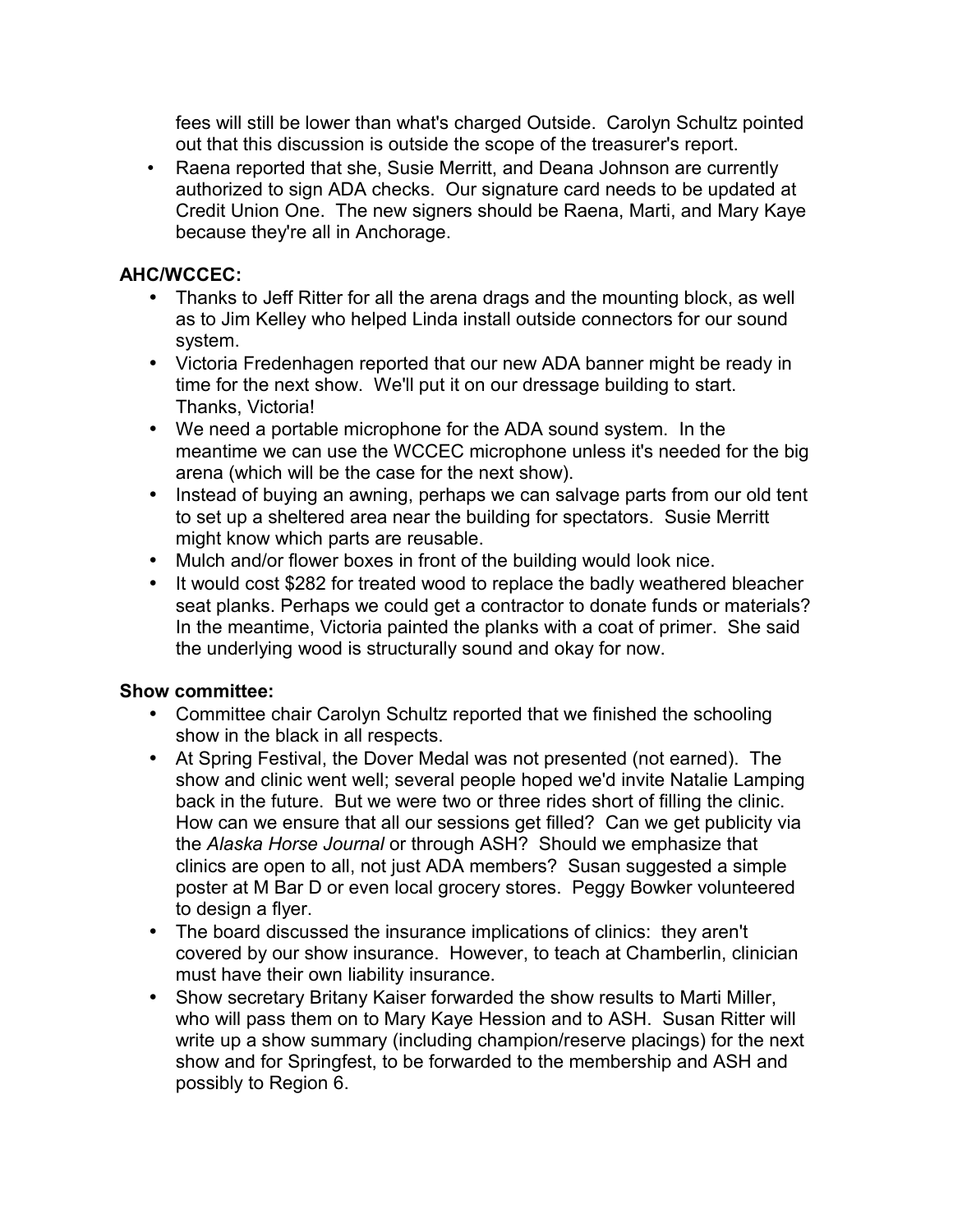fees will still be lower than what's charged Outside. Carolyn Schultz pointed out that this discussion is outside the scope of the treasurer's report.

• Raena reported that she, Susie Merritt, and Deana Johnson are currently authorized to sign ADA checks. Our signature card needs to be updated at Credit Union One. The new signers should be Raena, Marti, and Mary Kaye because they're all in Anchorage.

# **AHC/WCCEC:**

- Thanks to Jeff Ritter for all the arena drags and the mounting block, as well as to Jim Kelley who helped Linda install outside connectors for our sound system.
- Victoria Fredenhagen reported that our new ADA banner might be ready in time for the next show. We'll put it on our dressage building to start. Thanks, Victoria!
- We need a portable microphone for the ADA sound system. In the meantime we can use the WCCEC microphone unless it's needed for the big arena (which will be the case for the next show).
- Instead of buying an awning, perhaps we can salvage parts from our old tent to set up a sheltered area near the building for spectators. Susie Merritt might know which parts are reusable.
- Mulch and/or flower boxes in front of the building would look nice.
- It would cost \$282 for treated wood to replace the badly weathered bleacher seat planks. Perhaps we could get a contractor to donate funds or materials? In the meantime, Victoria painted the planks with a coat of primer. She said the underlying wood is structurally sound and okay for now.

- Committee chair Carolyn Schultz reported that we finished the schooling show in the black in all respects.
- At Spring Festival, the Dover Medal was not presented (not earned). The show and clinic went well; several people hoped we'd invite Natalie Lamping back in the future. But we were two or three rides short of filling the clinic. How can we ensure that all our sessions get filled? Can we get publicity via the *Alaska Horse Journal* or through ASH? Should we emphasize that clinics are open to all, not just ADA members? Susan suggested a simple poster at M Bar D or even local grocery stores. Peggy Bowker volunteered to design a flyer.
- The board discussed the insurance implications of clinics: they aren't covered by our show insurance. However, to teach at Chamberlin, clinician must have their own liability insurance.
- Show secretary Britany Kaiser forwarded the show results to Marti Miller, who will pass them on to Mary Kaye Hession and to ASH. Susan Ritter will write up a show summary (including champion/reserve placings) for the next show and for Springfest, to be forwarded to the membership and ASH and possibly to Region 6.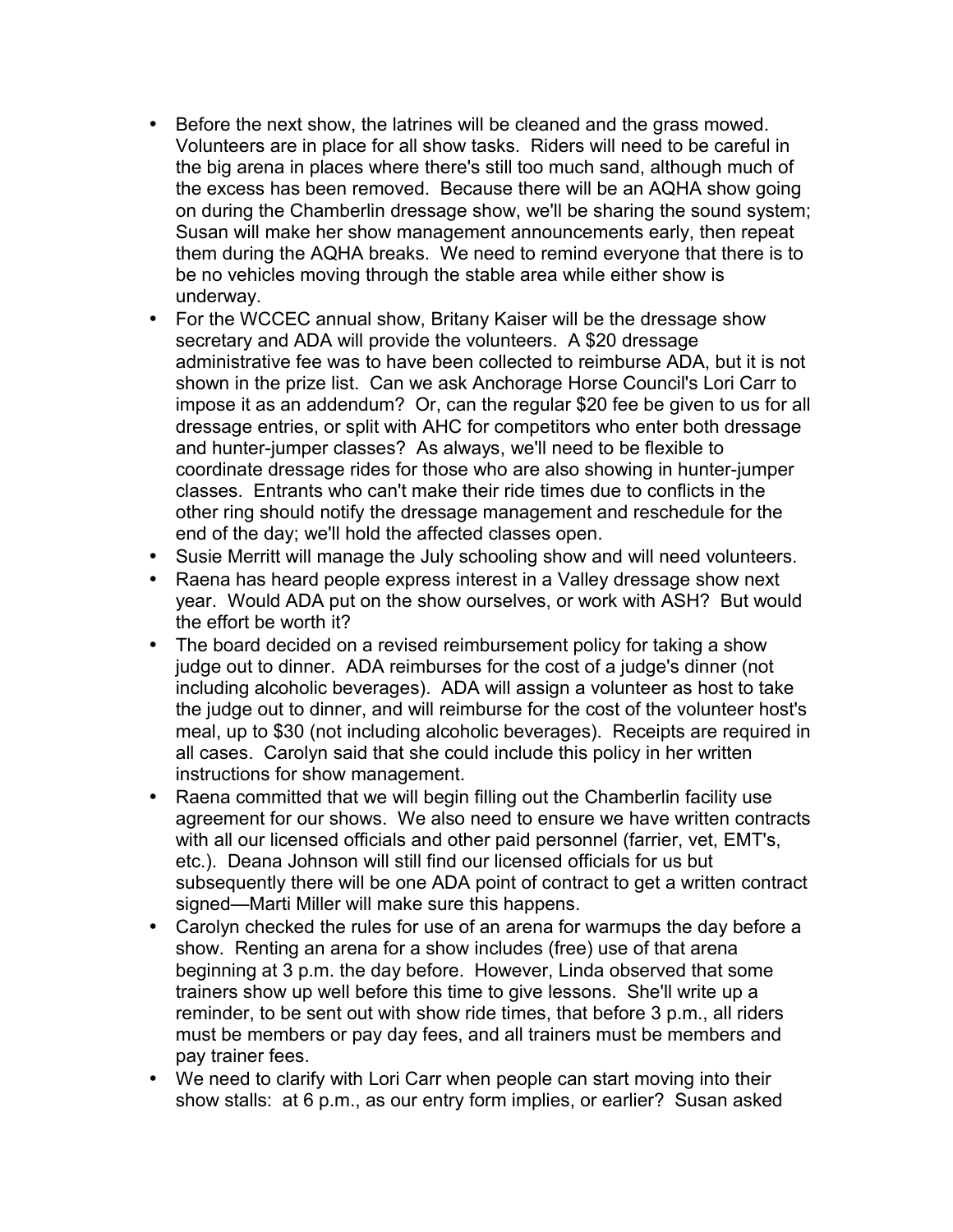- Before the next show, the latrines will be cleaned and the grass mowed. Volunteers are in place for all show tasks. Riders will need to be careful in the big arena in places where there's still too much sand, although much of the excess has been removed. Because there will be an AQHA show going on during the Chamberlin dressage show, we'll be sharing the sound system; Susan will make her show management announcements early, then repeat them during the AQHA breaks. We need to remind everyone that there is to be no vehicles moving through the stable area while either show is underway.
- For the WCCEC annual show, Britany Kaiser will be the dressage show secretary and ADA will provide the volunteers. A \$20 dressage administrative fee was to have been collected to reimburse ADA, but it is not shown in the prize list. Can we ask Anchorage Horse Council's Lori Carr to impose it as an addendum? Or, can the regular \$20 fee be given to us for all dressage entries, or split with AHC for competitors who enter both dressage and hunter-jumper classes? As always, we'll need to be flexible to coordinate dressage rides for those who are also showing in hunter-jumper classes. Entrants who can't make their ride times due to conflicts in the other ring should notify the dressage management and reschedule for the end of the day; we'll hold the affected classes open.
- Susie Merritt will manage the July schooling show and will need volunteers.
- Raena has heard people express interest in a Valley dressage show next year. Would ADA put on the show ourselves, or work with ASH? But would the effort be worth it?
- The board decided on a revised reimbursement policy for taking a show judge out to dinner. ADA reimburses for the cost of a judge's dinner (not including alcoholic beverages). ADA will assign a volunteer as host to take the judge out to dinner, and will reimburse for the cost of the volunteer host's meal, up to \$30 (not including alcoholic beverages). Receipts are required in all cases. Carolyn said that she could include this policy in her written instructions for show management.
- Raena committed that we will begin filling out the Chamberlin facility use agreement for our shows. We also need to ensure we have written contracts with all our licensed officials and other paid personnel (farrier, vet, EMT's, etc.). Deana Johnson will still find our licensed officials for us but subsequently there will be one ADA point of contract to get a written contract signed—Marti Miller will make sure this happens.
- Carolyn checked the rules for use of an arena for warmups the day before a show. Renting an arena for a show includes (free) use of that arena beginning at 3 p.m. the day before. However, Linda observed that some trainers show up well before this time to give lessons. She'll write up a reminder, to be sent out with show ride times, that before 3 p.m., all riders must be members or pay day fees, and all trainers must be members and pay trainer fees.
- We need to clarify with Lori Carr when people can start moving into their show stalls: at 6 p.m., as our entry form implies, or earlier? Susan asked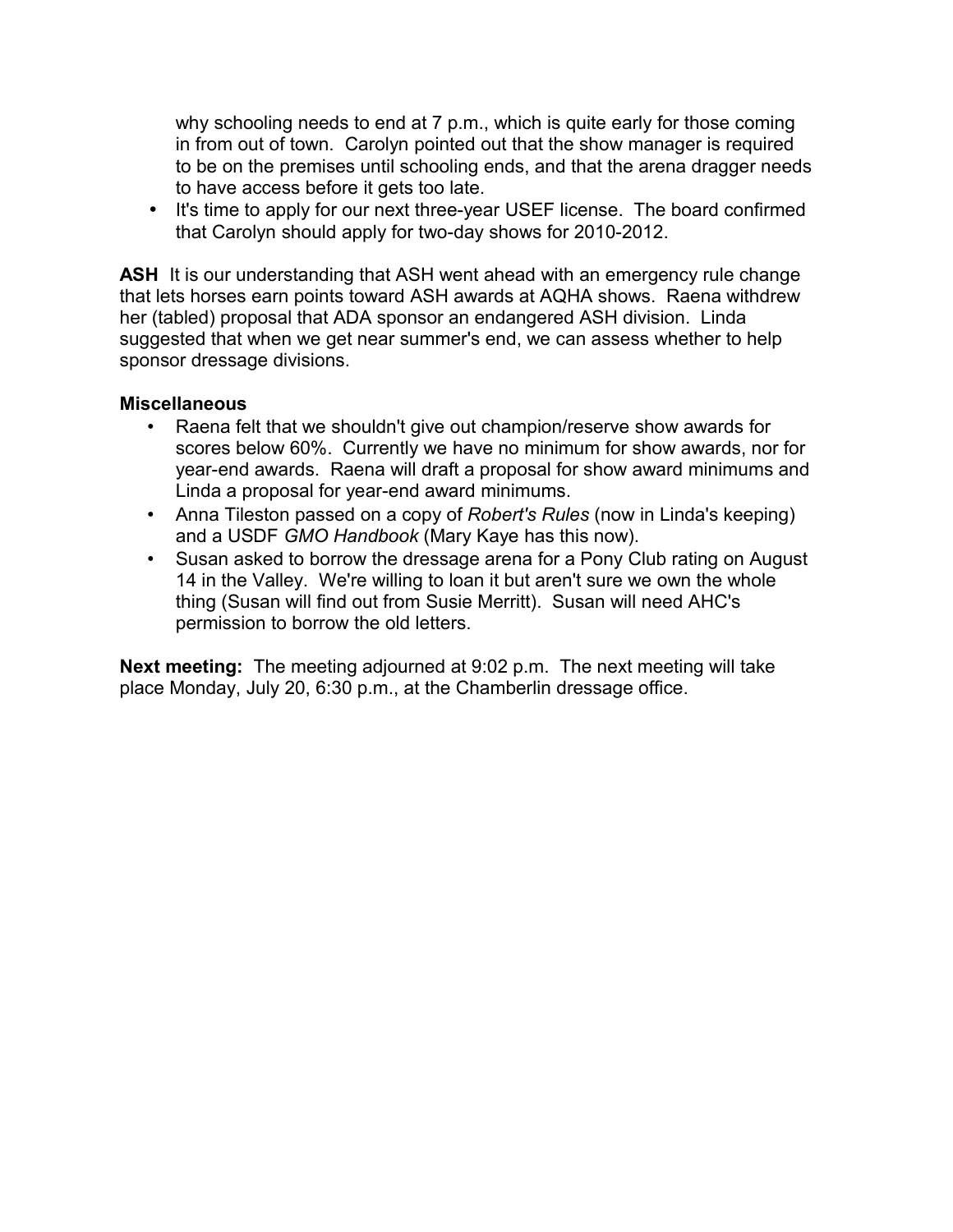why schooling needs to end at 7 p.m., which is quite early for those coming in from out of town. Carolyn pointed out that the show manager is required to be on the premises until schooling ends, and that the arena dragger needs to have access before it gets too late.

• It's time to apply for our next three-year USEF license. The board confirmed that Carolyn should apply for two-day shows for 2010-2012.

**ASH** It is our understanding that ASH went ahead with an emergency rule change that lets horses earn points toward ASH awards at AQHA shows. Raena withdrew her (tabled) proposal that ADA sponsor an endangered ASH division. Linda suggested that when we get near summer's end, we can assess whether to help sponsor dressage divisions.

## **Miscellaneous**

- Raena felt that we shouldn't give out champion/reserve show awards for scores below 60%. Currently we have no minimum for show awards, nor for year-end awards. Raena will draft a proposal for show award minimums and Linda a proposal for year-end award minimums.
- Anna Tileston passed on a copy of *Robert's Rules* (now in Linda's keeping) and a USDF *GMO Handbook* (Mary Kaye has this now).
- Susan asked to borrow the dressage arena for a Pony Club rating on August 14 in the Valley. We're willing to loan it but aren't sure we own the whole thing (Susan will find out from Susie Merritt). Susan will need AHC's permission to borrow the old letters.

**Next meeting:** The meeting adjourned at 9:02 p.m. The next meeting will take place Monday, July 20, 6:30 p.m., at the Chamberlin dressage office.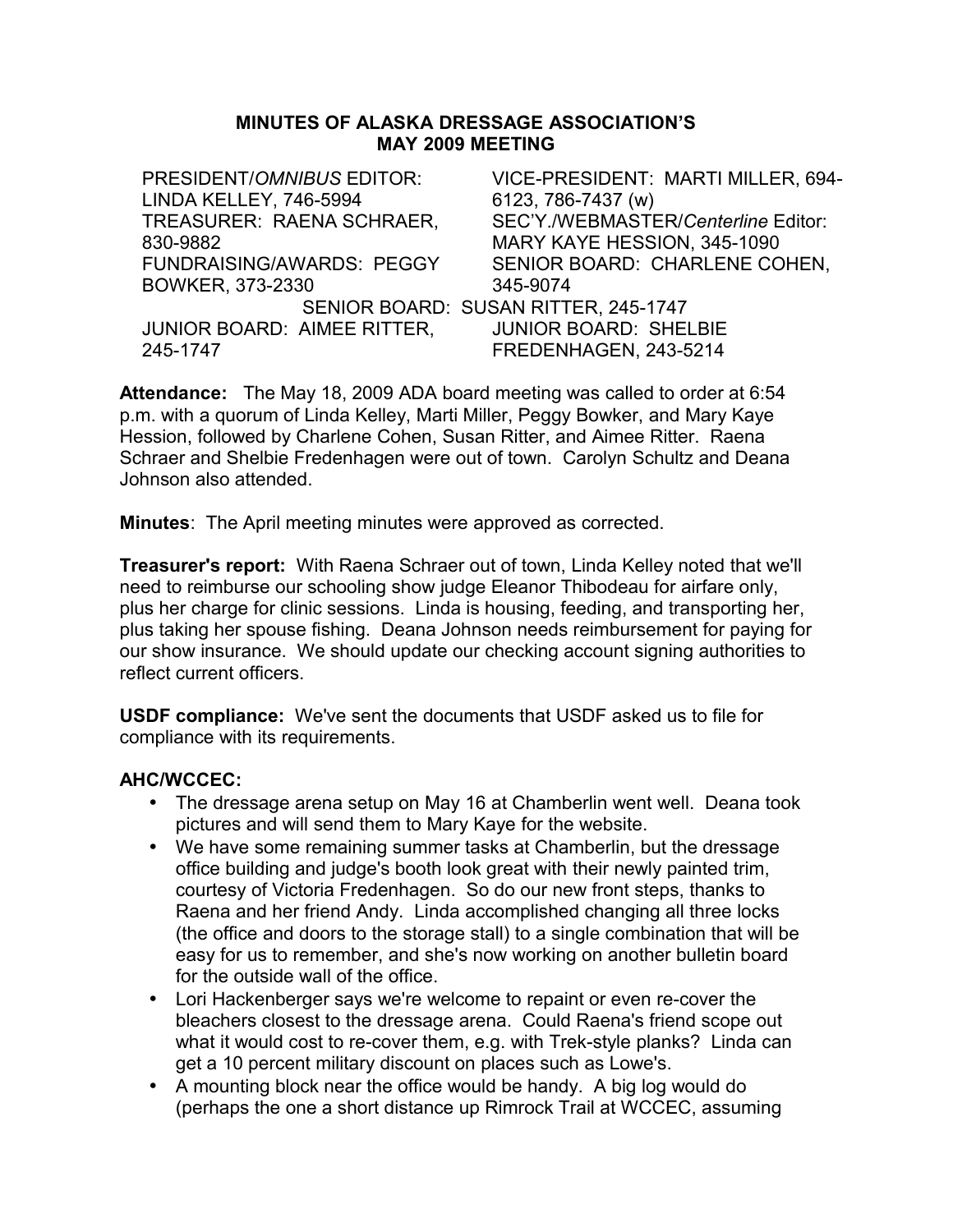#### **MINUTES OF ALASKA DRESSAGE ASSOCIATION'S MAY 2009 MEETING**

PRESIDENT/*OMNIBUS* EDITOR: LINDA KELLEY, 746-5994 VICE-PRESIDENT: MARTI MILLER, 694- 6123, 786-7437 (w) TREASURER: RAENA SCHRAER, 830-9882 SEC'Y./WEBMASTER/*Centerline* Editor: MARY KAYE HESSION, 345-1090 FUNDRAISING/AWARDS: PEGGY BOWKER, 373-2330 SENIOR BOARD: CHARLENE COHEN, 345-9074 SENIOR BOARD: SUSAN RITTER, 245-1747 JUNIOR BOARD: AIMEE RITTER, 245-1747 JUNIOR BOARD: SHELBIE FREDENHAGEN, 243-5214

**Attendance:** The May 18, 2009 ADA board meeting was called to order at 6:54 p.m. with a quorum of Linda Kelley, Marti Miller, Peggy Bowker, and Mary Kaye Hession, followed by Charlene Cohen, Susan Ritter, and Aimee Ritter. Raena Schraer and Shelbie Fredenhagen were out of town. Carolyn Schultz and Deana Johnson also attended.

**Minutes**: The April meeting minutes were approved as corrected.

**Treasurer's report:** With Raena Schraer out of town, Linda Kelley noted that we'll need to reimburse our schooling show judge Eleanor Thibodeau for airfare only, plus her charge for clinic sessions. Linda is housing, feeding, and transporting her, plus taking her spouse fishing. Deana Johnson needs reimbursement for paying for our show insurance. We should update our checking account signing authorities to reflect current officers.

**USDF compliance:** We've sent the documents that USDF asked us to file for compliance with its requirements.

## **AHC/WCCEC:**

- The dressage arena setup on May 16 at Chamberlin went well. Deana took pictures and will send them to Mary Kaye for the website.
- We have some remaining summer tasks at Chamberlin, but the dressage office building and judge's booth look great with their newly painted trim, courtesy of Victoria Fredenhagen. So do our new front steps, thanks to Raena and her friend Andy. Linda accomplished changing all three locks (the office and doors to the storage stall) to a single combination that will be easy for us to remember, and she's now working on another bulletin board for the outside wall of the office.
- Lori Hackenberger says we're welcome to repaint or even re-cover the bleachers closest to the dressage arena. Could Raena's friend scope out what it would cost to re-cover them, e.g. with Trek-style planks? Linda can get a 10 percent military discount on places such as Lowe's.
- A mounting block near the office would be handy. A big log would do (perhaps the one a short distance up Rimrock Trail at WCCEC, assuming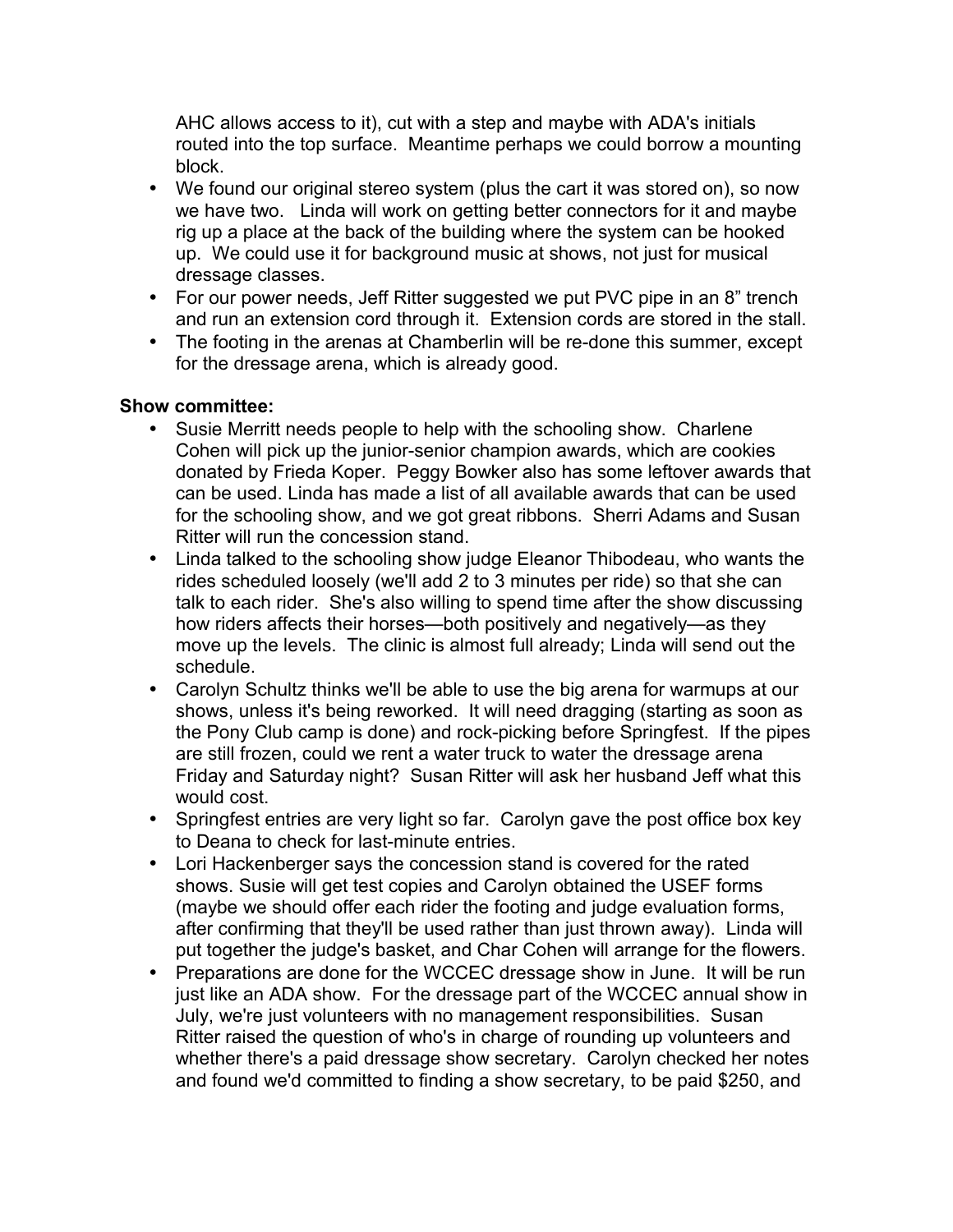AHC allows access to it), cut with a step and maybe with ADA's initials routed into the top surface. Meantime perhaps we could borrow a mounting block.

- We found our original stereo system (plus the cart it was stored on), so now we have two. Linda will work on getting better connectors for it and maybe rig up a place at the back of the building where the system can be hooked up. We could use it for background music at shows, not just for musical dressage classes.
- For our power needs, Jeff Ritter suggested we put PVC pipe in an 8" trench and run an extension cord through it. Extension cords are stored in the stall.
- The footing in the arenas at Chamberlin will be re-done this summer, except for the dressage arena, which is already good.

- Susie Merritt needs people to help with the schooling show. Charlene Cohen will pick up the junior-senior champion awards, which are cookies donated by Frieda Koper.Peggy Bowker also has some leftover awards that can be used. Linda has made a list of all available awards that can be used for the schooling show, and we got great ribbons. Sherri Adams and Susan Ritter will run the concession stand.
- Linda talked to the schooling show judge Eleanor Thibodeau, who wants the rides scheduled loosely (we'll add 2 to 3 minutes per ride) so that she can talk to each rider. She's also willing to spend time after the show discussing how riders affects their horses—both positively and negatively—as they move up the levels. The clinic is almost full already; Linda will send out the schedule.
- Carolyn Schultz thinks we'll be able to use the big arena for warmups at our shows, unless it's being reworked. It will need dragging (starting as soon as the Pony Club camp is done) and rock-picking before Springfest. If the pipes are still frozen, could we rent a water truck to water the dressage arena Friday and Saturday night? Susan Ritter will ask her husband Jeff what this would cost.
- Springfest entries are very light so far. Carolyn gave the post office box key to Deana to check for last-minute entries.
- Lori Hackenberger says the concession stand is covered for the rated shows. Susie will get test copies and Carolyn obtained the USEF forms (maybe we should offer each rider the footing and judge evaluation forms, after confirming that they'll be used rather than just thrown away). Linda will put together the judge's basket, and Char Cohen will arrange for the flowers.
- Preparations are done for the WCCEC dressage show in June. It will be run just like an ADA show. For the dressage part of the WCCEC annual show in July, we're just volunteers with no management responsibilities. Susan Ritter raised the question of who's in charge of rounding up volunteers and whether there's a paid dressage show secretary. Carolyn checked her notes and found we'd committed to finding a show secretary, to be paid \$250, and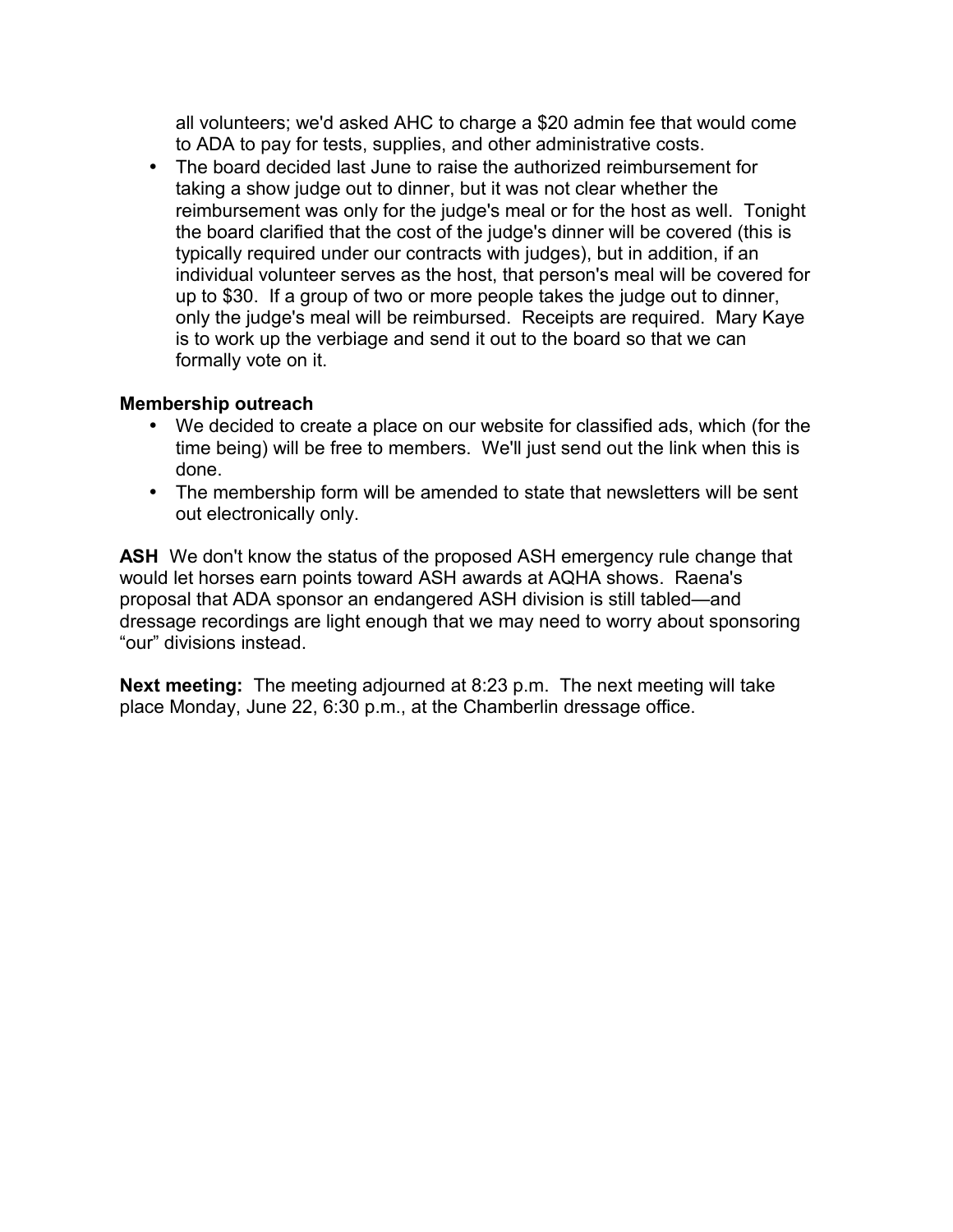all volunteers; we'd asked AHC to charge a \$20 admin fee that would come to ADA to pay for tests, supplies, and other administrative costs.

• The board decided last June to raise the authorized reimbursement for taking a show judge out to dinner, but it was not clear whether the reimbursement was only for the judge's meal or for the host as well. Tonight the board clarified that the cost of the judge's dinner will be covered (this is typically required under our contracts with judges), but in addition, if an individual volunteer serves as the host, that person's meal will be covered for up to \$30. If a group of two or more people takes the judge out to dinner, only the judge's meal will be reimbursed. Receipts are required. Mary Kaye is to work up the verbiage and send it out to the board so that we can formally vote on it.

# **Membership outreach**

- We decided to create a place on our website for classified ads, which (for the time being) will be free to members. We'll just send out the link when this is done.
- The membership form will be amended to state that newsletters will be sent out electronically only.

**ASH** We don't know the status of the proposed ASH emergency rule change that would let horses earn points toward ASH awards at AQHA shows. Raena's proposal that ADA sponsor an endangered ASH division is still tabled—and dressage recordings are light enough that we may need to worry about sponsoring "our" divisions instead.

**Next meeting:** The meeting adjourned at 8:23 p.m. The next meeting will take place Monday, June 22, 6:30 p.m., at the Chamberlin dressage office.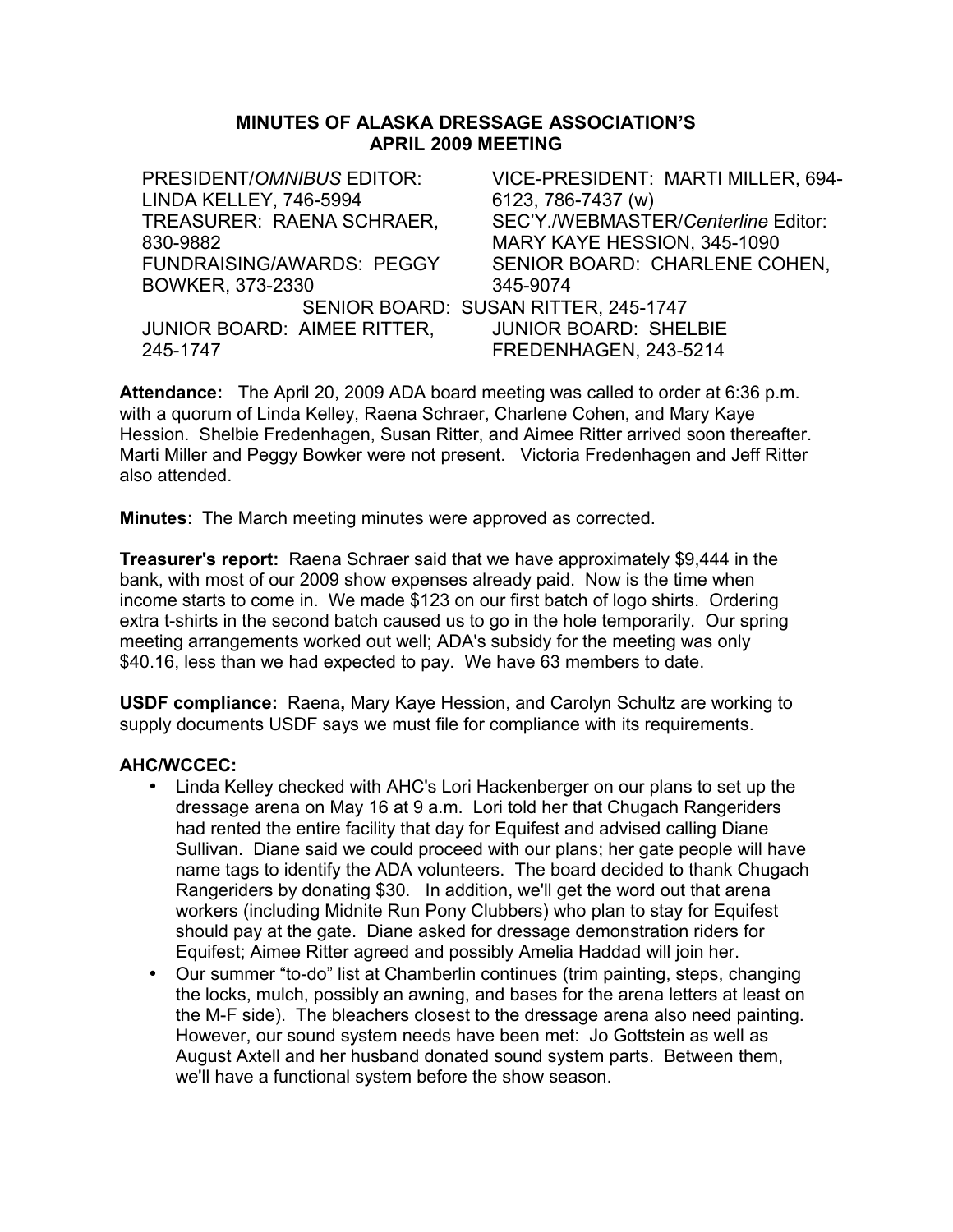#### **MINUTES OF ALASKA DRESSAGE ASSOCIATION'S APRIL 2009 MEETING**

PRESIDENT/*OMNIBUS* EDITOR: LINDA KELLEY, 746-5994 VICE-PRESIDENT: MARTI MILLER, 694- 6123, 786-7437 (w) TREASURER: RAENA SCHRAER, 830-9882 SEC'Y./WEBMASTER/*Centerline* Editor: MARY KAYE HESSION, 345-1090 FUNDRAISING/AWARDS: PEGGY BOWKER, 373-2330 SENIOR BOARD: CHARLENE COHEN, 345-9074 SENIOR BOARD: SUSAN RITTER, 245-1747 JUNIOR BOARD: AIMEE RITTER, 245-1747 JUNIOR BOARD: SHELBIE FREDENHAGEN, 243-5214

**Attendance:** The April 20, 2009 ADA board meeting was called to order at 6:36 p.m. with a quorum of Linda Kelley, Raena Schraer, Charlene Cohen, and Mary Kaye Hession. Shelbie Fredenhagen, Susan Ritter, and Aimee Ritter arrived soon thereafter. Marti Miller and Peggy Bowker were not present. Victoria Fredenhagen and Jeff Ritter also attended.

**Minutes**: The March meeting minutes were approved as corrected.

**Treasurer's report:** Raena Schraer said that we have approximately \$9,444 in the bank, with most of our 2009 show expenses already paid. Now is the time when income starts to come in. We made \$123 on our first batch of logo shirts. Ordering extra t-shirts in the second batch caused us to go in the hole temporarily. Our spring meeting arrangements worked out well; ADA's subsidy for the meeting was only \$40.16, less than we had expected to pay. We have 63 members to date.

**USDF compliance:** Raena**,** Mary Kaye Hession, and Carolyn Schultz are working to supply documents USDF says we must file for compliance with its requirements.

#### **AHC/WCCEC:**

- Linda Kelley checked with AHC's Lori Hackenberger on our plans to set up the dressage arena on May 16 at 9 a.m. Lori told her that Chugach Rangeriders had rented the entire facility that day for Equifest and advised calling Diane Sullivan. Diane said we could proceed with our plans; her gate people will have name tags to identify the ADA volunteers. The board decided to thank Chugach Rangeriders by donating \$30. In addition, we'll get the word out that arena workers (including Midnite Run Pony Clubbers) who plan to stay for Equifest should pay at the gate. Diane asked for dressage demonstration riders for Equifest; Aimee Ritter agreed and possibly Amelia Haddad will join her.
- Our summer "to-do" list at Chamberlin continues (trim painting, steps, changing the locks, mulch, possibly an awning, and bases for the arena letters at least on the M-F side). The bleachers closest to the dressage arena also need painting. However, our sound system needs have been met: Jo Gottstein as well as August Axtell and her husband donated sound system parts. Between them, we'll have a functional system before the show season.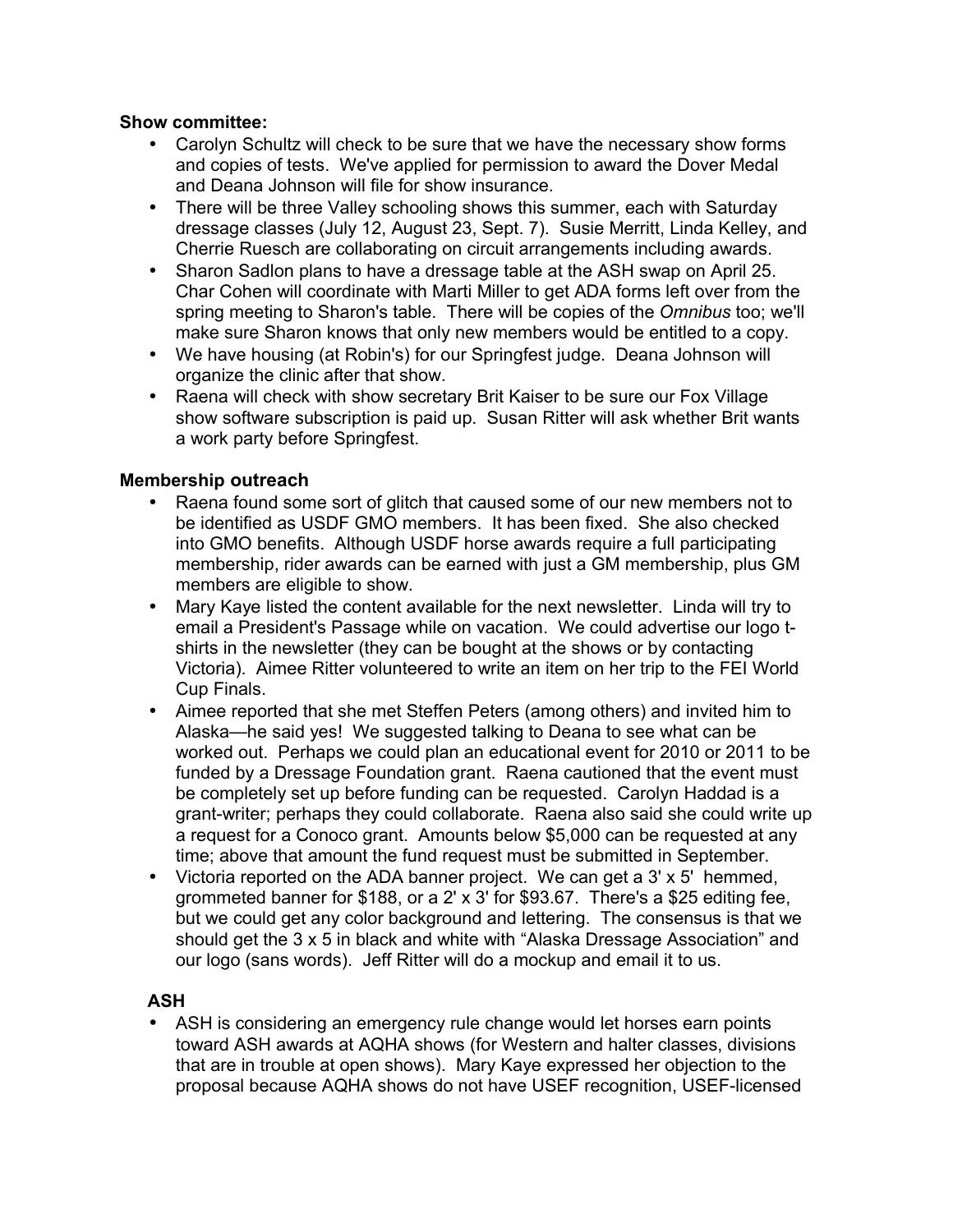### **Show committee:**

- Carolyn Schultz will check to be sure that we have the necessary show forms and copies of tests. We've applied for permission to award the Dover Medal and Deana Johnson will file for show insurance.
- There will be three Valley schooling shows this summer, each with Saturday dressage classes (July 12, August 23, Sept. 7). Susie Merritt, Linda Kelley, and Cherrie Ruesch are collaborating on circuit arrangements including awards.
- Sharon Sadlon plans to have a dressage table at the ASH swap on April 25. Char Cohen will coordinate with Marti Miller to get ADA forms left over from the spring meeting to Sharon's table. There will be copies of the *Omnibus* too; we'll make sure Sharon knows that only new members would be entitled to a copy.
- We have housing (at Robin's) for our Springfest judge. Deana Johnson will organize the clinic after that show.
- Raena will check with show secretary Brit Kaiser to be sure our Fox Village show software subscription is paid up. Susan Ritter will ask whether Brit wants a work party before Springfest.

## **Membership outreach**

- Raena found some sort of glitch that caused some of our new members not to be identified as USDF GMO members. It has been fixed. She also checked into GMO benefits. Although USDF horse awards require a full participating membership, rider awards can be earned with just a GM membership, plus GM members are eligible to show.
- Mary Kaye listed the content available for the next newsletter. Linda will try to email a President's Passage while on vacation. We could advertise our logo tshirts in the newsletter (they can be bought at the shows or by contacting Victoria). Aimee Ritter volunteered to write an item on her trip to the FEI World Cup Finals.
- Aimee reported that she met Steffen Peters (among others) and invited him to Alaska—he said yes! We suggested talking to Deana to see what can be worked out. Perhaps we could plan an educational event for 2010 or 2011 to be funded by a Dressage Foundation grant. Raena cautioned that the event must be completely set up before funding can be requested. Carolyn Haddad is a grant-writer; perhaps they could collaborate. Raena also said she could write up a request for a Conoco grant. Amounts below \$5,000 can be requested at any time; above that amount the fund request must be submitted in September.
- Victoria reported on the ADA banner project. We can get a 3' x 5' hemmed, grommeted banner for \$188, or a 2' x 3' for \$93.67. There's a \$25 editing fee, but we could get any color background and lettering. The consensus is that we should get the 3 x 5 in black and white with "Alaska Dressage Association" and our logo (sans words). Jeff Ritter will do a mockup and email it to us.

## **ASH**

• ASH is considering an emergency rule change would let horses earn points toward ASH awards at AQHA shows (for Western and halter classes, divisions that are in trouble at open shows). Mary Kaye expressed her objection to the proposal because AQHA shows do not have USEF recognition, USEF-licensed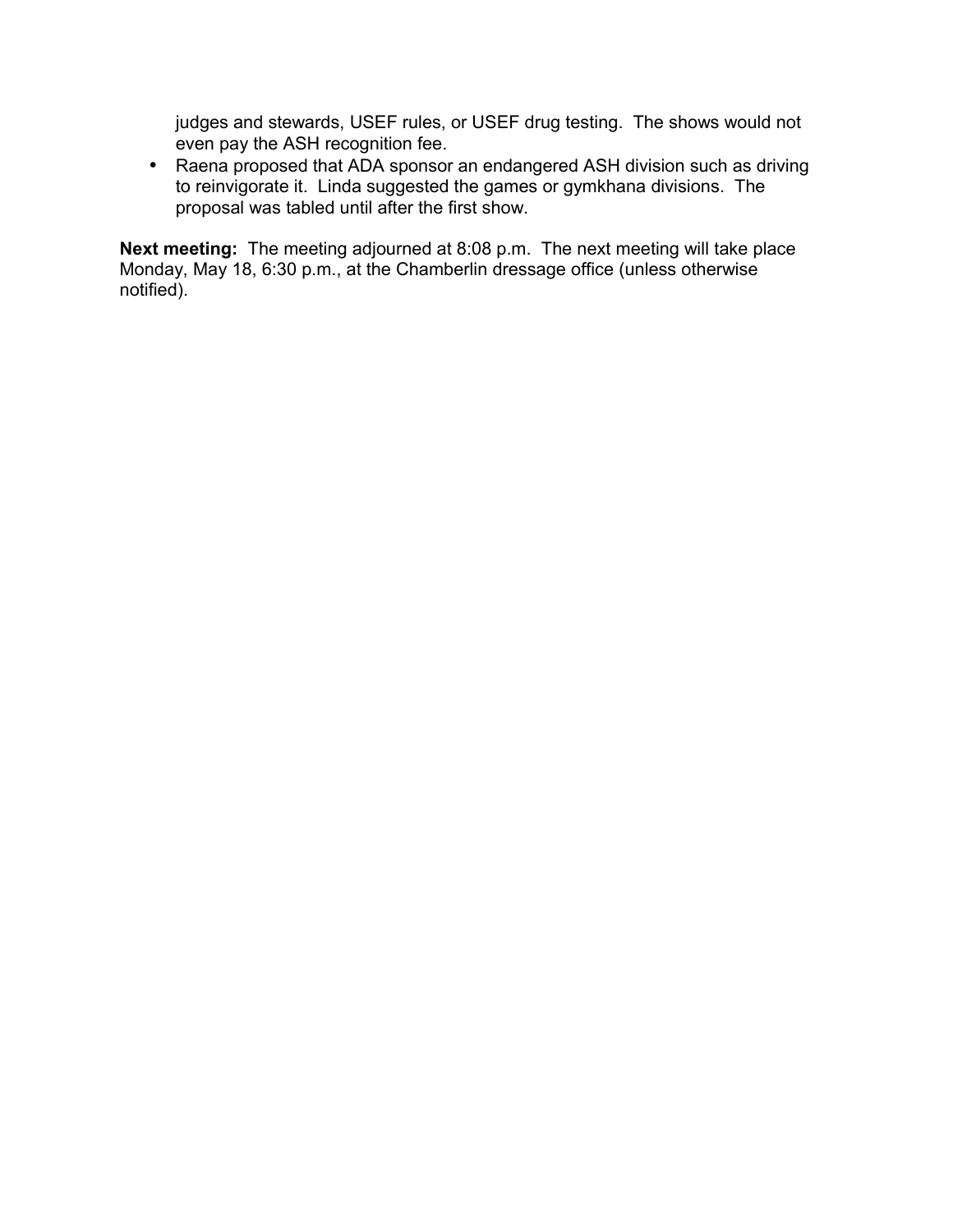judges and stewards, USEF rules, or USEF drug testing. The shows would not even pay the ASH recognition fee.

• Raena proposed that ADA sponsor an endangered ASH division such as driving to reinvigorate it. Linda suggested the games or gymkhana divisions. The proposal was tabled until after the first show.

**Next meeting:** The meeting adjourned at 8:08 p.m. The next meeting will take place Monday, May 18, 6:30 p.m., at the Chamberlin dressage office (unless otherwise notified).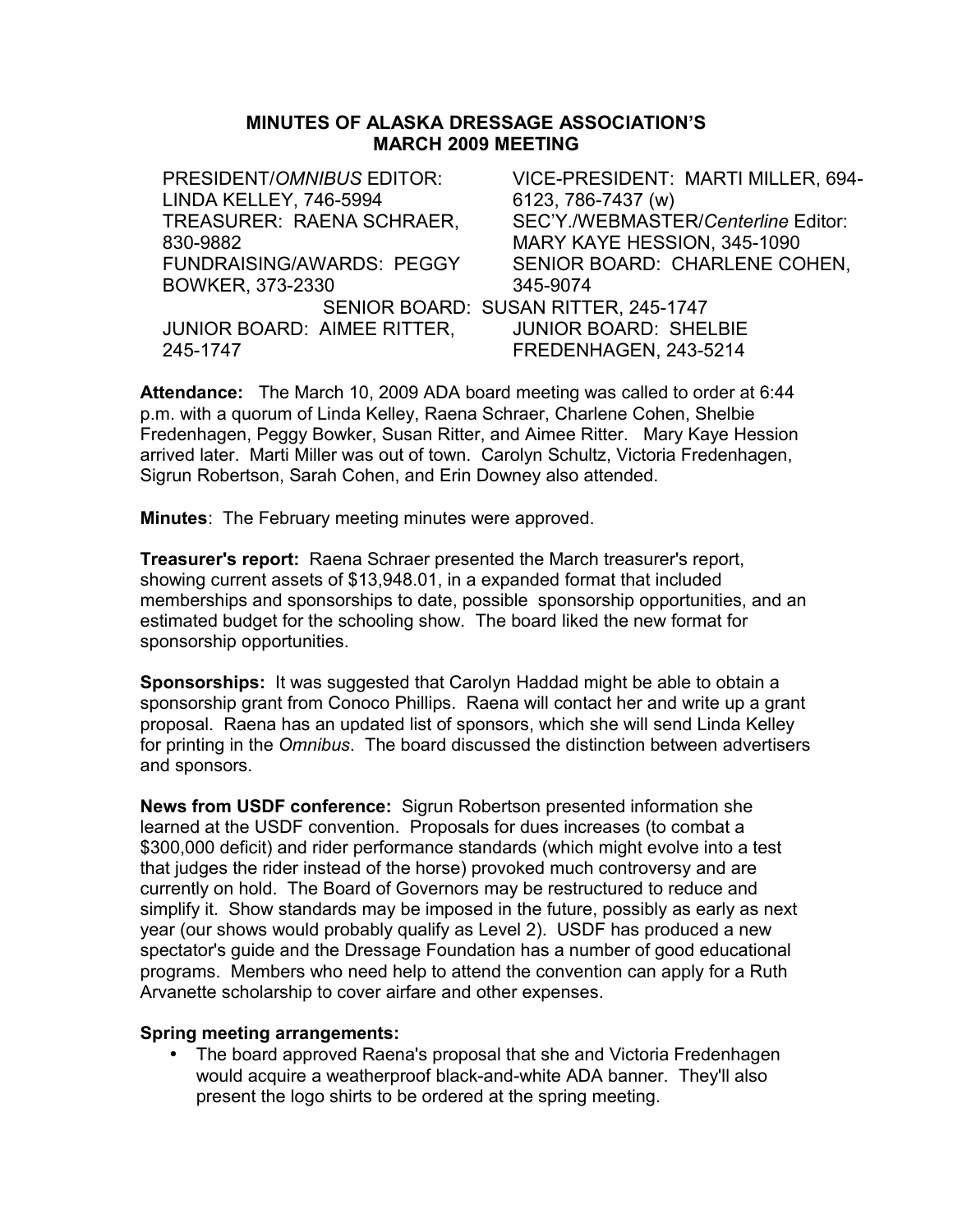#### **MINUTES OF ALASKA DRESSAGE ASSOCIATION'S MARCH 2009 MEETING**

PRESIDENT/*OMNIBUS* EDITOR: LINDA KELLEY, 746-5994 VICE-PRESIDENT: MARTI MILLER, 694- 6123, 786-7437 (w) TREASURER: RAENA SCHRAER, 830-9882 SEC'Y./WEBMASTER/*Centerline* Editor: MARY KAYE HESSION, 345-1090 FUNDRAISING/AWARDS: PEGGY BOWKER, 373-2330 SENIOR BOARD: CHARLENE COHEN, 345-9074 SENIOR BOARD: SUSAN RITTER, 245-1747 JUNIOR BOARD: AIMEE RITTER, 245-1747 JUNIOR BOARD: SHELBIE FREDENHAGEN, 243-5214

**Attendance:** The March 10, 2009 ADA board meeting was called to order at 6:44 p.m. with a quorum of Linda Kelley, Raena Schraer, Charlene Cohen, Shelbie Fredenhagen, Peggy Bowker, Susan Ritter, and Aimee Ritter. Mary Kaye Hession arrived later. Marti Miller was out of town. Carolyn Schultz, Victoria Fredenhagen, Sigrun Robertson, Sarah Cohen, and Erin Downey also attended.

**Minutes**: The February meeting minutes were approved.

**Treasurer's report:** Raena Schraer presented the March treasurer's report, showing current assets of \$13,948.01, in a expanded format that included memberships and sponsorships to date, possible sponsorship opportunities, and an estimated budget for the schooling show. The board liked the new format for sponsorship opportunities.

**Sponsorships:** It was suggested that Carolyn Haddad might be able to obtain a sponsorship grant from Conoco Phillips. Raena will contact her and write up a grant proposal. Raena has an updated list of sponsors, which she will send Linda Kelley for printing in the *Omnibus*. The board discussed the distinction between advertisers and sponsors.

**News from USDF conference:** Sigrun Robertson presented information she learned at the USDF convention. Proposals for dues increases (to combat a \$300,000 deficit) and rider performance standards (which might evolve into a test that judges the rider instead of the horse) provoked much controversy and are currently on hold. The Board of Governors may be restructured to reduce and simplify it. Show standards may be imposed in the future, possibly as early as next year (our shows would probably qualify as Level 2). USDF has produced a new spectator's guide and the Dressage Foundation has a number of good educational programs. Members who need help to attend the convention can apply for a Ruth Arvanette scholarship to cover airfare and other expenses.

#### **Spring meeting arrangements:**

• The board approved Raena's proposal that she and Victoria Fredenhagen would acquire a weatherproof black-and-white ADA banner. They'll also present the logo shirts to be ordered at the spring meeting.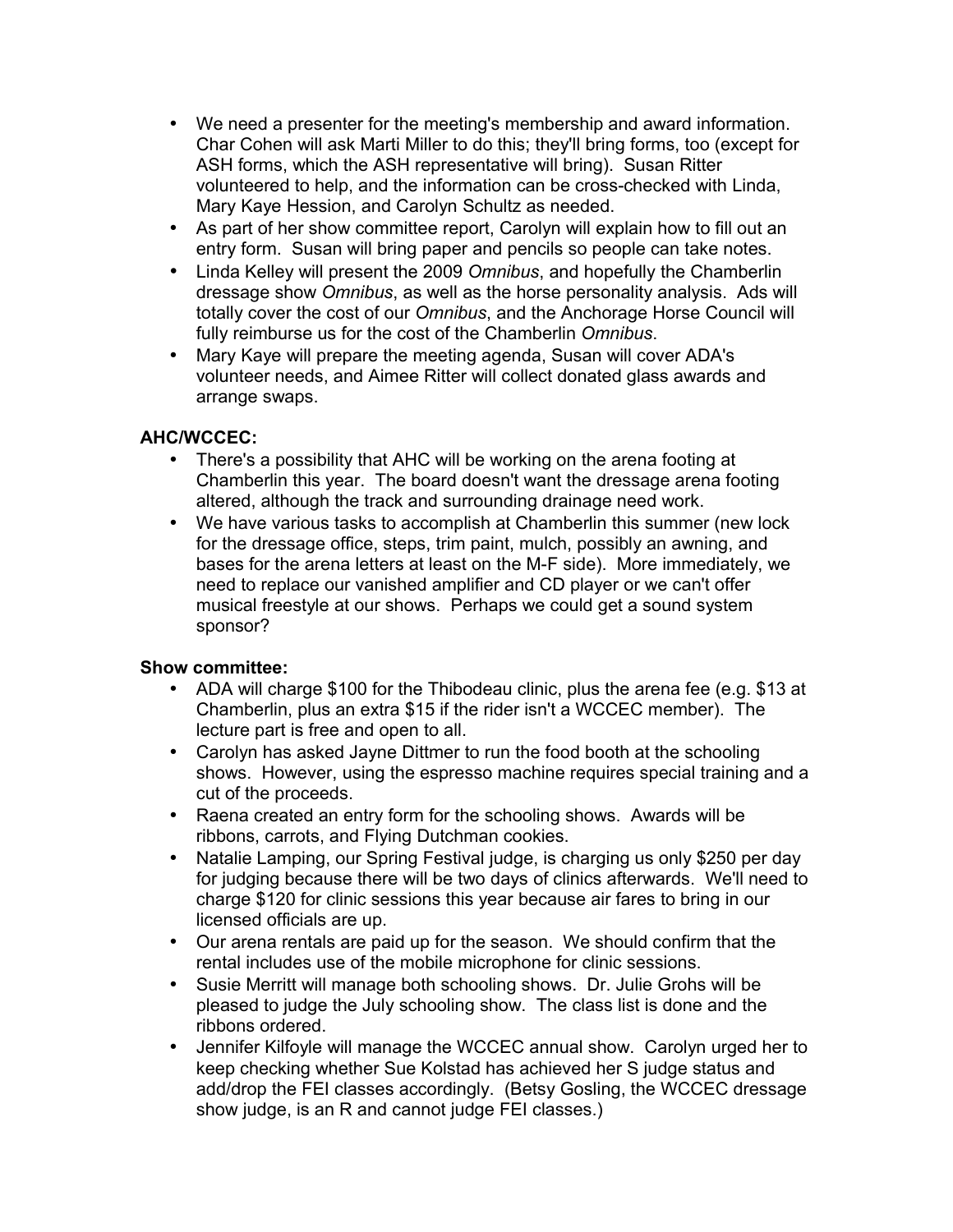- We need a presenter for the meeting's membership and award information. Char Cohen will ask Marti Miller to do this; they'll bring forms, too (except for ASH forms, which the ASH representative will bring). Susan Ritter volunteered to help, and the information can be cross-checked with Linda, Mary Kaye Hession, and Carolyn Schultz as needed.
- As part of her show committee report, Carolyn will explain how to fill out an entry form. Susan will bring paper and pencils so people can take notes.
- Linda Kelley will present the 2009 *Omnibus*, and hopefully the Chamberlin dressage show *Omnibus*, as well as the horse personality analysis. Ads will totally cover the cost of our *Omnibus*, and the Anchorage Horse Council will fully reimburse us for the cost of the Chamberlin *Omnibus*.
- Mary Kaye will prepare the meeting agenda, Susan will cover ADA's volunteer needs, and Aimee Ritter will collect donated glass awards and arrange swaps.

## **AHC/WCCEC:**

- There's a possibility that AHC will be working on the arena footing at Chamberlin this year. The board doesn't want the dressage arena footing altered, although the track and surrounding drainage need work.
- We have various tasks to accomplish at Chamberlin this summer (new lock for the dressage office, steps, trim paint, mulch, possibly an awning, and bases for the arena letters at least on the M-F side). More immediately, we need to replace our vanished amplifier and CD player or we can't offer musical freestyle at our shows. Perhaps we could get a sound system sponsor?

- ADA will charge \$100 for the Thibodeau clinic, plus the arena fee (e.g. \$13 at Chamberlin, plus an extra \$15 if the rider isn't a WCCEC member). The lecture part is free and open to all.
- Carolyn has asked Jayne Dittmer to run the food booth at the schooling shows. However, using the espresso machine requires special training and a cut of the proceeds.
- Raena created an entry form for the schooling shows. Awards will be ribbons, carrots, and Flying Dutchman cookies.
- Natalie Lamping, our Spring Festival judge, is charging us only \$250 per day for judging because there will be two days of clinics afterwards. We'll need to charge \$120 for clinic sessions this year because air fares to bring in our licensed officials are up.
- Our arena rentals are paid up for the season. We should confirm that the rental includes use of the mobile microphone for clinic sessions.
- Susie Merritt will manage both schooling shows. Dr. Julie Grohs will be pleased to judge the July schooling show. The class list is done and the ribbons ordered.
- Jennifer Kilfoyle will manage the WCCEC annual show. Carolyn urged her to keep checking whether Sue Kolstad has achieved her S judge status and add/drop the FEI classes accordingly. (Betsy Gosling, the WCCEC dressage show judge, is an R and cannot judge FEI classes.)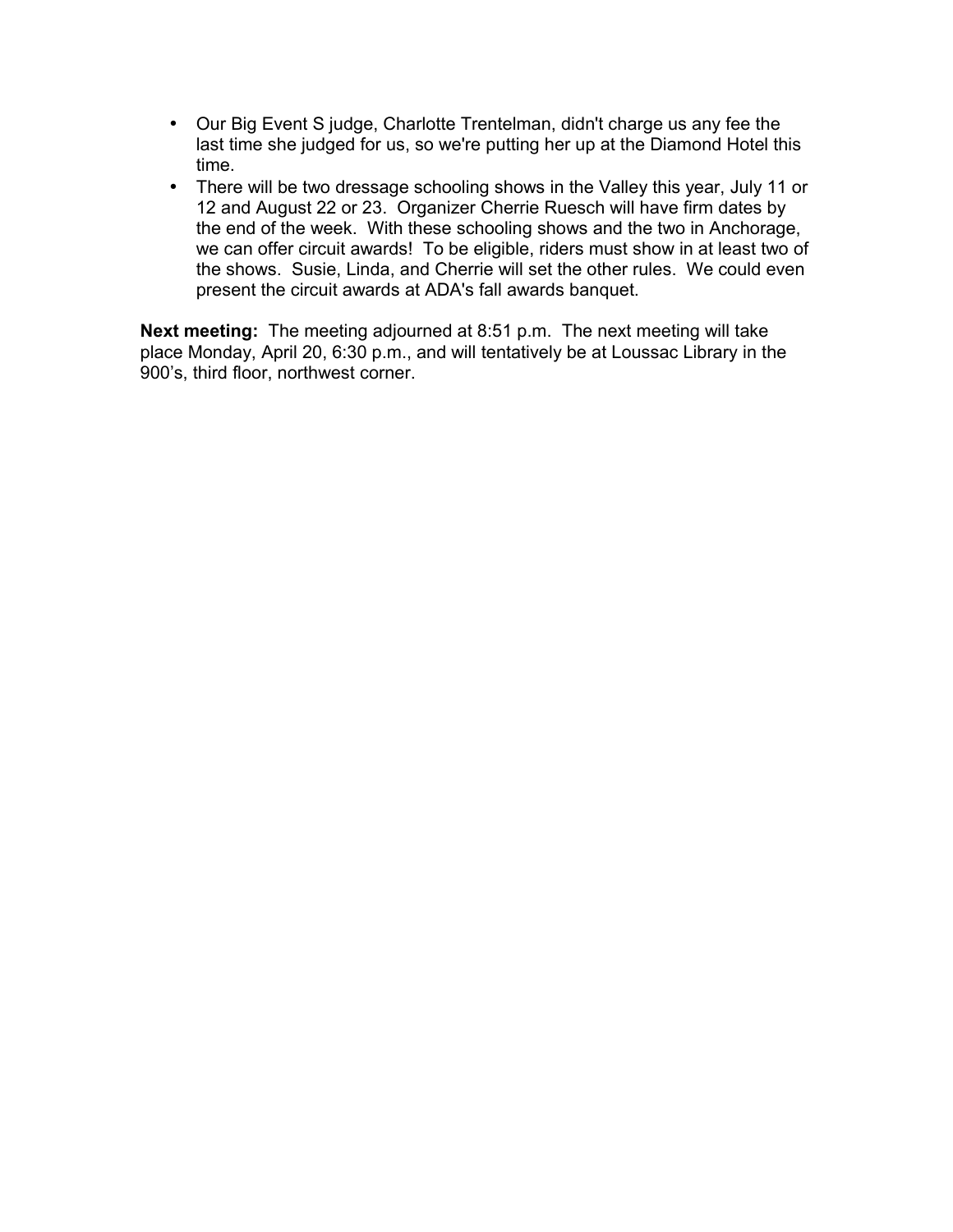- Our Big Event S judge, Charlotte Trentelman, didn't charge us any fee the last time she judged for us, so we're putting her up at the Diamond Hotel this time.
- There will be two dressage schooling shows in the Valley this year, July 11 or 12 and August 22 or 23. Organizer Cherrie Ruesch will have firm dates by the end of the week. With these schooling shows and the two in Anchorage, we can offer circuit awards! To be eligible, riders must show in at least two of the shows. Susie, Linda, and Cherrie will set the other rules. We could even present the circuit awards at ADA's fall awards banquet.

**Next meeting:** The meeting adjourned at 8:51 p.m. The next meeting will take place Monday, April 20, 6:30 p.m., and will tentatively be at Loussac Library in the 900's, third floor, northwest corner.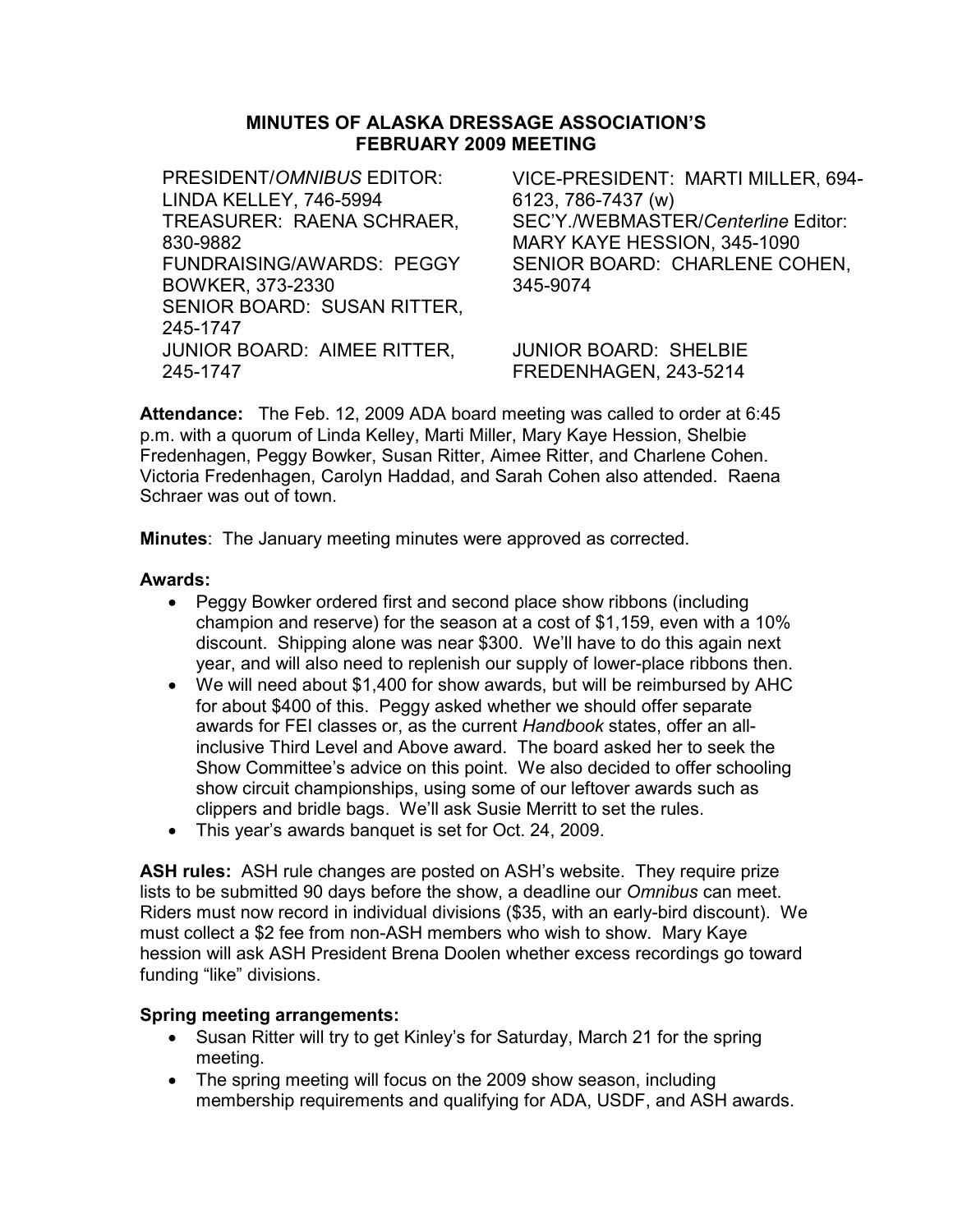# MINUTES OF ALASKA DRESSAGE ASSOCIATION'S FEBRUARY 2009 MEETING

PRESIDENT/OMNIBUS EDITOR: LINDA KELLEY, 746-5994 VICE-PRESIDENT: MARTI MILLER, 694- 6123, 786-7437 (w) TREASURER: RAENA SCHRAER, 830-9882 SEC'Y./WEBMASTER/Centerline Editor: MARY KAYE HESSION, 345-1090 FUNDRAISING/AWARDS: PEGGY BOWKER, 373-2330 SENIOR BOARD: CHARLENE COHEN, 345-9074 SENIOR BOARD: SUSAN RITTER, 245-1747 JUNIOR BOARD: AIMEE RITTER, 245-1747 JUNIOR BOARD: SHELBIE FREDENHAGEN, 243-5214

Attendance: The Feb. 12, 2009 ADA board meeting was called to order at 6:45 p.m. with a quorum of Linda Kelley, Marti Miller, Mary Kaye Hession, Shelbie Fredenhagen, Peggy Bowker, Susan Ritter, Aimee Ritter, and Charlene Cohen. Victoria Fredenhagen, Carolyn Haddad, and Sarah Cohen also attended. Raena Schraer was out of town.

**Minutes:** The January meeting minutes were approved as corrected.

#### Awards:

- Peggy Bowker ordered first and second place show ribbons (including champion and reserve) for the season at a cost of \$1,159, even with a 10% discount. Shipping alone was near \$300. We'll have to do this again next year, and will also need to replenish our supply of lower-place ribbons then.
- We will need about \$1,400 for show awards, but will be reimbursed by AHC for about \$400 of this. Peggy asked whether we should offer separate awards for FEI classes or, as the current Handbook states, offer an allinclusive Third Level and Above award. The board asked her to seek the Show Committee's advice on this point. We also decided to offer schooling show circuit championships, using some of our leftover awards such as clippers and bridle bags. We'll ask Susie Merritt to set the rules.
- This year's awards banquet is set for Oct. 24, 2009.

ASH rules: ASH rule changes are posted on ASH's website. They require prize lists to be submitted 90 days before the show, a deadline our Omnibus can meet. Riders must now record in individual divisions (\$35, with an early-bird discount). We must collect a \$2 fee from non-ASH members who wish to show. Mary Kaye hession will ask ASH President Brena Doolen whether excess recordings go toward funding "like" divisions.

#### Spring meeting arrangements:

- Susan Ritter will try to get Kinley's for Saturday, March 21 for the spring meeting.
- The spring meeting will focus on the 2009 show season, including membership requirements and qualifying for ADA, USDF, and ASH awards.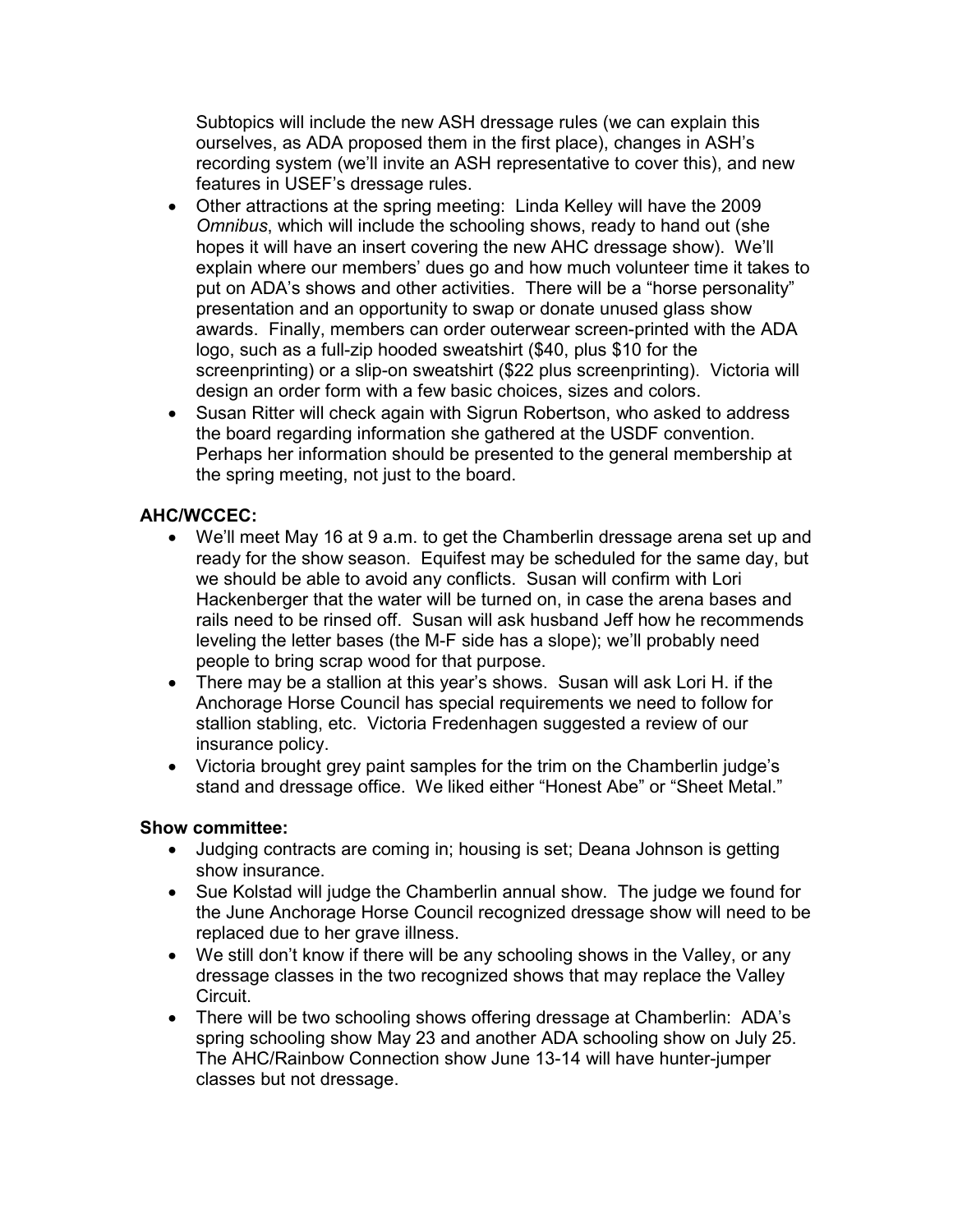Subtopics will include the new ASH dressage rules (we can explain this ourselves, as ADA proposed them in the first place), changes in ASH's recording system (we'll invite an ASH representative to cover this), and new features in USEF's dressage rules.

- Other attractions at the spring meeting: Linda Kelley will have the 2009 Omnibus, which will include the schooling shows, ready to hand out (she hopes it will have an insert covering the new AHC dressage show). We'll explain where our members' dues go and how much volunteer time it takes to put on ADA's shows and other activities. There will be a "horse personality" presentation and an opportunity to swap or donate unused glass show awards. Finally, members can order outerwear screen-printed with the ADA logo, such as a full-zip hooded sweatshirt (\$40, plus \$10 for the screenprinting) or a slip-on sweatshirt (\$22 plus screenprinting). Victoria will design an order form with a few basic choices, sizes and colors.
- Susan Ritter will check again with Sigrun Robertson, who asked to address the board regarding information she gathered at the USDF convention. Perhaps her information should be presented to the general membership at the spring meeting, not just to the board.

#### AHC/WCCEC:

- We'll meet May 16 at 9 a.m. to get the Chamberlin dressage arena set up and ready for the show season. Equifest may be scheduled for the same day, but we should be able to avoid any conflicts. Susan will confirm with Lori Hackenberger that the water will be turned on, in case the arena bases and rails need to be rinsed off. Susan will ask husband Jeff how he recommends leveling the letter bases (the M-F side has a slope); we'll probably need people to bring scrap wood for that purpose.
- There may be a stallion at this year's shows. Susan will ask Lori H. if the Anchorage Horse Council has special requirements we need to follow for stallion stabling, etc. Victoria Fredenhagen suggested a review of our insurance policy.
- Victoria brought grey paint samples for the trim on the Chamberlin judge's stand and dressage office. We liked either "Honest Abe" or "Sheet Metal."

- Judging contracts are coming in; housing is set; Deana Johnson is getting show insurance.
- Sue Kolstad will judge the Chamberlin annual show. The judge we found for the June Anchorage Horse Council recognized dressage show will need to be replaced due to her grave illness.
- We still don't know if there will be any schooling shows in the Valley, or any dressage classes in the two recognized shows that may replace the Valley Circuit.
- There will be two schooling shows offering dressage at Chamberlin: ADA's spring schooling show May 23 and another ADA schooling show on July 25. The AHC/Rainbow Connection show June 13-14 will have hunter-jumper classes but not dressage.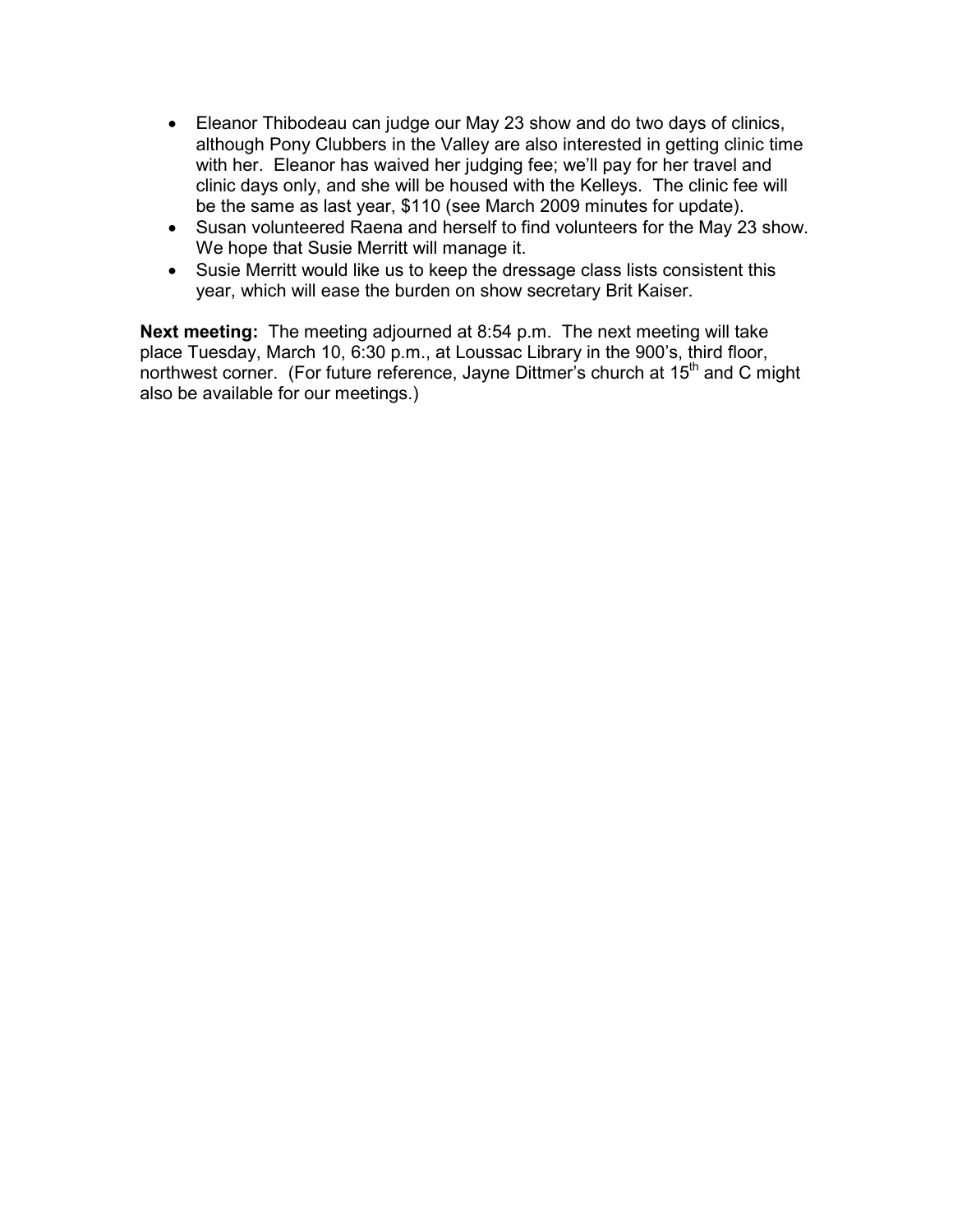- Eleanor Thibodeau can judge our May 23 show and do two days of clinics, although Pony Clubbers in the Valley are also interested in getting clinic time with her. Eleanor has waived her judging fee; we'll pay for her travel and clinic days only, and she will be housed with the Kelleys. The clinic fee will be the same as last year, \$110 (see March 2009 minutes for update).
- Susan volunteered Raena and herself to find volunteers for the May 23 show. We hope that Susie Merritt will manage it.
- Susie Merritt would like us to keep the dressage class lists consistent this year, which will ease the burden on show secretary Brit Kaiser.

Next meeting: The meeting adjourned at 8:54 p.m. The next meeting will take place Tuesday, March 10, 6:30 p.m., at Loussac Library in the 900's, third floor, northwest corner. (For future reference, Jayne Dittmer's church at 15<sup>th</sup> and C might also be available for our meetings.)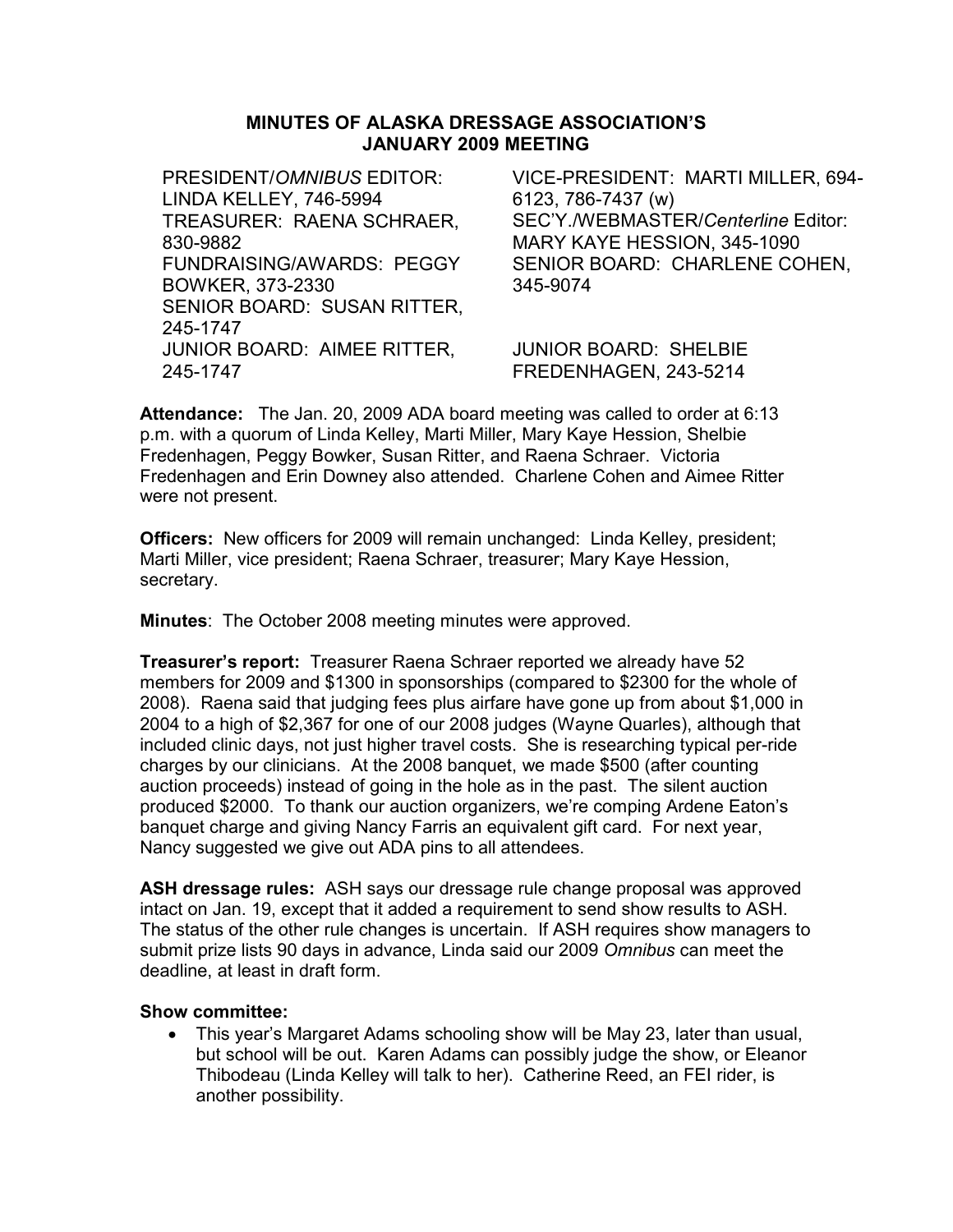### MINUTES OF ALASKA DRESSAGE ASSOCIATION'S JANUARY 2009 MEETING

PRESIDENT/OMNIBUS EDITOR: LINDA KELLEY, 746-5994 VICE-PRESIDENT: MARTI MILLER, 694- 6123, 786-7437 (w) TREASURER: RAENA SCHRAER, 830-9882 SEC'Y./WEBMASTER/Centerline Editor: MARY KAYE HESSION, 345-1090 FUNDRAISING/AWARDS: PEGGY BOWKER, 373-2330 SENIOR BOARD: CHARLENE COHEN, 345-9074 SENIOR BOARD: SUSAN RITTER, 245-1747 JUNIOR BOARD: AIMEE RITTER, 245-1747 JUNIOR BOARD: SHELBIE FREDENHAGEN, 243-5214

Attendance: The Jan. 20, 2009 ADA board meeting was called to order at 6:13 p.m. with a quorum of Linda Kelley, Marti Miller, Mary Kaye Hession, Shelbie Fredenhagen, Peggy Bowker, Susan Ritter, and Raena Schraer. Victoria Fredenhagen and Erin Downey also attended. Charlene Cohen and Aimee Ritter were not present.

**Officers:** New officers for 2009 will remain unchanged: Linda Kelley, president; Marti Miller, vice president; Raena Schraer, treasurer; Mary Kaye Hession, secretary.

Minutes: The October 2008 meeting minutes were approved.

Treasurer's report: Treasurer Raena Schraer reported we already have 52 members for 2009 and \$1300 in sponsorships (compared to \$2300 for the whole of 2008). Raena said that judging fees plus airfare have gone up from about \$1,000 in 2004 to a high of \$2,367 for one of our 2008 judges (Wayne Quarles), although that included clinic days, not just higher travel costs. She is researching typical per-ride charges by our clinicians. At the 2008 banquet, we made \$500 (after counting auction proceeds) instead of going in the hole as in the past. The silent auction produced \$2000. To thank our auction organizers, we're comping Ardene Eaton's banquet charge and giving Nancy Farris an equivalent gift card. For next year, Nancy suggested we give out ADA pins to all attendees.

ASH dressage rules: ASH says our dressage rule change proposal was approved intact on Jan. 19, except that it added a requirement to send show results to ASH. The status of the other rule changes is uncertain. If ASH requires show managers to submit prize lists 90 days in advance, Linda said our 2009 Omnibus can meet the deadline, at least in draft form.

#### Show committee:

• This year's Margaret Adams schooling show will be May 23, later than usual, but school will be out. Karen Adams can possibly judge the show, or Eleanor Thibodeau (Linda Kelley will talk to her). Catherine Reed, an FEI rider, is another possibility.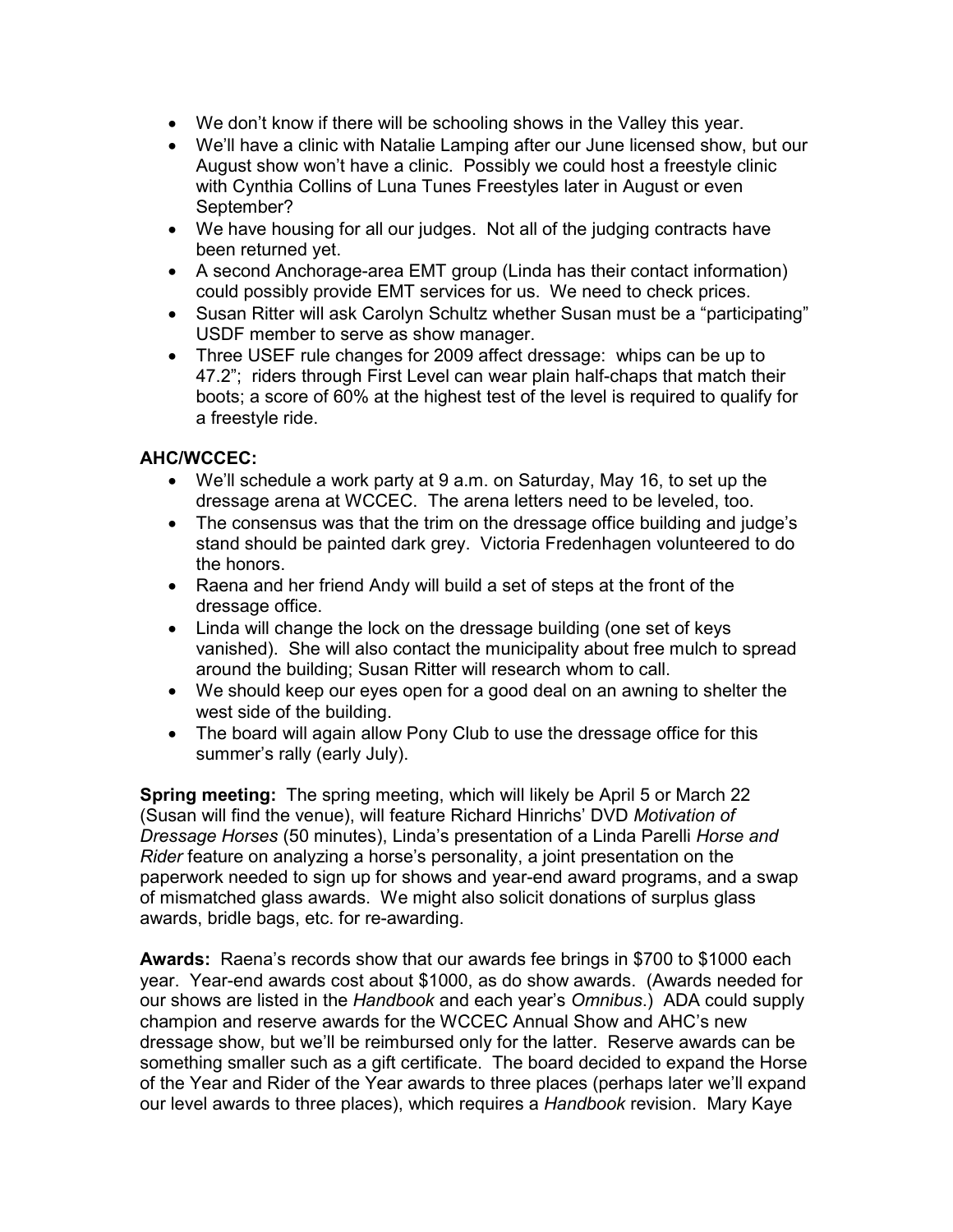- We don't know if there will be schooling shows in the Valley this year.
- We'll have a clinic with Natalie Lamping after our June licensed show, but our August show won't have a clinic. Possibly we could host a freestyle clinic with Cynthia Collins of Luna Tunes Freestyles later in August or even September?
- We have housing for all our judges. Not all of the judging contracts have been returned yet.
- A second Anchorage-area EMT group (Linda has their contact information) could possibly provide EMT services for us. We need to check prices.
- Susan Ritter will ask Carolyn Schultz whether Susan must be a "participating" USDF member to serve as show manager.
- Three USEF rule changes for 2009 affect dressage: whips can be up to 47.2"; riders through First Level can wear plain half-chaps that match their boots; a score of 60% at the highest test of the level is required to qualify for a freestyle ride.

# AHC/WCCEC:

- We'll schedule a work party at 9 a.m. on Saturday, May 16, to set up the dressage arena at WCCEC. The arena letters need to be leveled, too.
- The consensus was that the trim on the dressage office building and judge's stand should be painted dark grey. Victoria Fredenhagen volunteered to do the honors.
- Raena and her friend Andy will build a set of steps at the front of the dressage office.
- Linda will change the lock on the dressage building (one set of keys vanished). She will also contact the municipality about free mulch to spread around the building; Susan Ritter will research whom to call.
- We should keep our eyes open for a good deal on an awning to shelter the west side of the building.
- The board will again allow Pony Club to use the dressage office for this summer's rally (early July).

Spring meeting: The spring meeting, which will likely be April 5 or March 22 (Susan will find the venue), will feature Richard Hinrichs' DVD Motivation of Dressage Horses (50 minutes), Linda's presentation of a Linda Parelli Horse and Rider feature on analyzing a horse's personality, a joint presentation on the paperwork needed to sign up for shows and year-end award programs, and a swap of mismatched glass awards. We might also solicit donations of surplus glass awards, bridle bags, etc. for re-awarding.

Awards: Raena's records show that our awards fee brings in \$700 to \$1000 each year. Year-end awards cost about \$1000, as do show awards. (Awards needed for our shows are listed in the Handbook and each year's Omnibus.) ADA could supply champion and reserve awards for the WCCEC Annual Show and AHC's new dressage show, but we'll be reimbursed only for the latter. Reserve awards can be something smaller such as a gift certificate. The board decided to expand the Horse of the Year and Rider of the Year awards to three places (perhaps later we'll expand our level awards to three places), which requires a Handbook revision. Mary Kaye